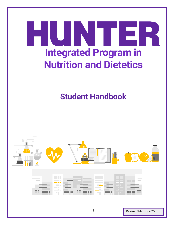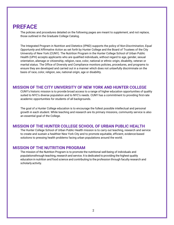# <span id="page-1-0"></span>**PREFACE**

The policies and procedures detailed on the following pages are meant to *supplement*, and not replace, those outlined in the Graduate College Catalog.

The Integrated Program in Nutrition and Dietetics (IPND) supports the policy of *Non-Discrimination, Equal Opportunity and Affirmative Action* as set forth by Hunter College and the Board of Trustees of the City University of New York (CUNY). The Nutrition Program in the Hunter College School of Urban Public Health (UPH) accepts applicants who are qualified individuals, without regard to age, gender, sexual orientation, alienage or citizenship, religion, race, color, national or ethnic origin, disability, veteran or marital status. The Office of Diversity and Compliance monitors policies, procedures, and programs to ensure they are developed and carried out in a manner which does not unlawfully discriminate on the basis of race, color, religion, sex, national origin, age or disability.

### <span id="page-1-1"></span>**MISSION OF THE CITY UNIVERSITY OF NEW YORK AND HUNTER COLLEGE**

CUNY's historic mission is to provide broad access to a range of higher education opportunities of quality suited to NYC's diverse population and to NYC's needs. CUNY has a commitment to providing first-rate academic opportunities for students of all backgrounds.

The goal of a Hunter College education is to encourage the fullest possible intellectual and personal growth in each student. While teaching and research are its primary missions, community service is also an essential goal of the College.

### <span id="page-1-2"></span>**MISSION OF THE HUNTER COLLEGE SCHOOL OF URBAN PUBLIC HEALTH**

The Hunter College School of Urban Public Health mission is to carry out teaching, research and service to create and sustain a healthier New York City and to promote equitable, efficient, evidence-based solutions to pressing health problems facing urban populations around the world.

### <span id="page-1-3"></span>**MISSION OF THE NUTRITION PROGRAM**

The mission of the Nutrition Program is to promote the nutritional well-being of individuals and populationsthrough teaching, research and service. It is dedicated to providing the highest quality education in nutrition and food science and contributing to the profession through faculty research and scholarly activity.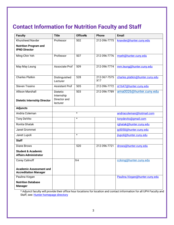# <span id="page-2-0"></span>**Contact Information for Nutrition Faculty and Staff**

| <b>Faculty</b>                                                 | <b>Title</b>                                              | <b>OfficeNo</b> | <b>Phone</b>        | <b>Email</b>                    |
|----------------------------------------------------------------|-----------------------------------------------------------|-----------------|---------------------|---------------------------------|
| <b>Khursheed Navder</b>                                        | Professor                                                 | 502             | 212-396-7775        | knavder@hunter.cuny.edu         |
| <b>Nutrition Program and</b><br><b>IPND Director</b>           |                                                           |                 |                     |                                 |
| Ming-Chin Yeh                                                  | Professor                                                 | 507             | 212-396-7776        | myeh@hunter.cuny.edu            |
| May May Leung                                                  | Associate Prof                                            | 509             | 212-396-7774        | mm.leung@hunter.cuny.edu        |
| <b>Charles Platkin</b>                                         | Distinguished<br>Lecturer                                 | 528             | 212-367-7575<br>X17 | charles.platkin@hunter.cuny.edu |
| <b>Steven Trasino</b>                                          | <b>Assistant Prof</b>                                     | 505             | 212-396-7772        | st1647@hunter.cuny.edu          |
| <b>Allison Marshall</b><br><b>Dietetic Internship Director</b> | <b>Dietetic</b><br>Internship<br>Director and<br>lecturer | 503             | 212-396-7789        | ama0026@hunter.cuny.edu         |
| <b>Adjuncts</b>                                                |                                                           |                 |                     |                                 |
| Andria Coleman                                                 |                                                           | $\star$         |                     | andriacoleman@hotmail.com       |
| Tony DeVito                                                    |                                                           | $\star$         |                     | tonydevito@gmail.com            |
| Ronita Ghatak                                                  |                                                           |                 |                     | rghatak@hunter.cuny.edu         |
| Janet Grommet                                                  |                                                           |                 |                     | jg5050@hunter.cuny.edu          |
| Janet Lupoli                                                   |                                                           | $\star$         |                     | jlupoli@hunter.cuny.edu         |
| <b>Staff</b>                                                   |                                                           |                 |                     |                                 |
| <b>Diane Brows</b>                                             |                                                           | 520             | 212-396-7721        | drows@hunter.cuny.edu           |
| <b>Student &amp; Academic</b><br><b>Affairs Administrator</b>  |                                                           |                 |                     |                                 |
| Corey Calinoff                                                 |                                                           | 504             |                     | ccking@hunter.cuny.edu          |
| <b>Academic Assessment and</b><br><b>Accreditation Manager</b> |                                                           |                 |                     |                                 |
| Paulina Vizgan                                                 |                                                           |                 |                     | Paulina. Vizgan@hunter.cuny.edu |
| <b>Nutrition Database</b><br><b>Manager</b>                    |                                                           |                 |                     |                                 |

\* Adjunct faculty will provide their office hour locations for location and contact information for all UPH Faculty and Staff, see: **Hunter homepage directory**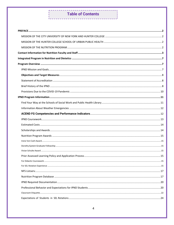### **Table of Contents** \_\_\_\_\_\_\_\_\_\_\_\_\_\_\_\_\_\_\_\_\_\_\_\_\_\_\_\_\_\_\_\_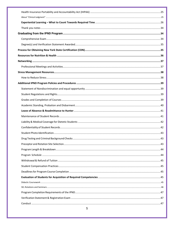| 5 |  |
|---|--|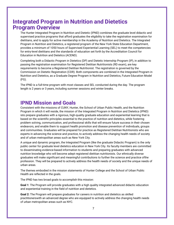# <span id="page-6-1"></span><span id="page-6-0"></span>**Integrated Program in Nutrition and Dietetics Program Overview**

The Hunter Integrated Program in Nutrition and Dietetic (IPND) combines the graduate level didactic and supervised practice programs that afford graduates the eligibility to take the registration examination for dietitians, and to apply for active membership in the Academy of Nutrition and Dietetics. The Integrated Program in Nutrition and Dietetics, a registered program of the New York State Education Department, provides a minimum of 1050 hours of Supervised Experiential Learning (SEL) to meet the competencies for entry-level dietitians and the standards of education set forth by the Accreditation Council for Education in Nutrition and Dietetics (ACEND).

Completing both a Didactic Program in Dietetics (DP) and Dietetic Internship Program (IP), in addition to passing the registration examination for Registered Dietitian Nutritionists (RD exam), are key requirements to become a Registered Dietitian Nutritionist. The registration is governed by the Commission on Dietetic Registration (CDR). Both components are combined in the Integrated Program in Nutrition and Dietetics, as a Graduate Degree Program in Nutrition and Dietetics, Future Education Model (FG).

The IPND is a full-time program with most classes and SEL conducted during the day. The program length is 2 years or 3 years, including summer sessions and winter breaks.

# <span id="page-6-2"></span>**IPND Mission and Goals**

Consistent with the missions of CUNY, Hunter, the School of Urban Public Health, and the Nutrition Program in which it will reside, the mission of the Integrated Program in Nutrition and Dietetics (IPND) isto prepare graduates with a rigorous, high-quality graduate education and experiential learning that is based on the scientific principles essential to the practice of nutrition and dietetics, while fostering problem solving, communication, and professional skills that will ensure future success in their chosen endeavors, and enable them to support health promotion and disease prevention of individuals, groups and communities. Graduates will be prepared for practice as Registered Dietitian Nutritionists who are experts in advancing the science and practice, to actively address the changing health needs of society and of urban metropolitan areas such as New York City.

A unique and dynamic program, the Integrated Program (like the graduate Didactic Program) is the only public center for graduate level dietetics education in New York City. Its faculty members are committed to disseminating evidence-based information to students and preparing graduates with advanced nutrition knowledge who will become adept registered dietitian nutritionists. Our ethnically diverse graduates will make significant and meaningful contributions to further the science and practice ofthe profession. They will be prepared to actively address the health needs of society and the unique needs of urban areas.

The themes embodied in the mission statements of Hunter College and the School of Urban Public Health are reflected in the goals.

The IPND has two broad goals to accomplish this mission:

**Goal 1**: The Program will provide graduates with a high quality integrated advanced didactic education and experiential training in the field of nutrition and dietetics.

**Goal 2:** The Program will prepare graduates for careers in nutrition and dietetics as skilled practitionerswith an advanced degree who are equipped to actively address the changing health needs of urban metropolitan areas such as NYC.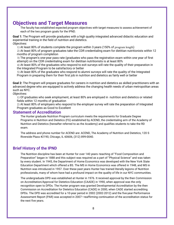# <span id="page-7-0"></span>**Objectives and Target Measures**

The faculty has established expected program objectives with target measures to assess achievement of each of the two program goals for the IPND.

**Goal 1:** The Program will provide graduates with a high quality integrated advanced didactic education and experiential training in the field of nutrition and dietetics. *Objectives:*

1) At least 80% of students complete the program within 3 years (150% of program length)

2) At least 80% of program graduates take the CDR credentialing exam for dietitian nutritionists within 12 months of program completion

3) The program's one-year pass rate (graduates who pass the registration exam within one year of first attempt) on the CDR credentialing exam for dietitian nutritionists is at least 80%

4) At least 80% of the graduates who respond to exit surveys will rate the quality of their preparation in the Integrated Program to be satisfactory or better

5) At least 80% of the graduates who respond to alumni surveys will rate the quality of the Integrated Program in preparing them for their first job in nutrition and dietetics as fairly well or better

**Goal 2:** The Program will prepare graduates for careers in nutrition and dietetics as skilled practitioners with an advanced degree who are equipped to actively address the changing health needs of urban metropolitan areas such as NYC.

*Objectives:* 

1) Of graduates who seek employment, at least 80% are employed in nutrition and dietetics or related fields within 12 months of graduation

2) At least 80% of employers who respond to the employer survey will rate the preparation of Integrated Program graduates as Good to Excellent

### <span id="page-7-1"></span>**Statement of Accreditation**

The Hunter graduate Nutrition Program curriculum meets the requirements for Graduate Degree Programs in Nutrition and Dietetics (FG) established by ACEND, the credentialing arm of the Academy of Nutrition and Dietetics (hereafter referred to as the Academy) and qualifies students to take the RD exam.

The address and phone number for ACEND are: ACEND, The Academy of Nutrition and Dietetics, 120 S Riverside Plaza #2190, Chicago, IL 60606, (312) 899-0040.

# <span id="page-7-2"></span>**Brief History of the IPND**

The Nutrition discipline has been at Hunter for over 140 years--teaching of "Food Composition and Preparation" began in 1888 and this subject was required as a part of "Physical Science" and was taken by every student. In 1945, the Department of Home Economics was developed with the New York State Education Department which offered a BS. The MS in Home Economics was offered in 1948, and MS in Nutrition was introduced in 1957. Over these past years Hunter has trained literally legions of Nutrition professionals, many of whom have had a profound impact on the quality of life in our NYC communities.

The undergraduate DPD was established at Hunter in 1976. It received approval by the then Commission on Accreditation/Approval for Dietetics Education (CAADE) in 1990, when approval was the only recognition open to DPDs. The Hunter program was granted Developmental Accreditation by the then Commission on Accreditation for Dietetics Education (CADE) in 2000, when CADE started accrediting DPDs. The DPD was accredited for a 10-year period in 2002 (2002-2012) and the five-year Performance Assessment Report (PAR) was accepted in 2007—reaffirming continuation of the accreditation status for the next five years.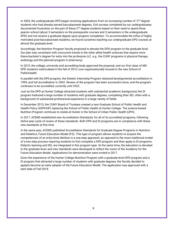In 2003, the undergraduate DPD began receiving applications from an increasing number of '2<sup>nd</sup> degree' students who had already earned baccalaureate degrees. Exit surveys completed by our undergraduates documented frustration on the part of these 2<sup>nd</sup> degree students based on their need to spend three yearsin school (about 3 semesters on the prerequisite courses and 3 semesters in the undergraduate DPD) and not receive a graduate degree upon program completion. To accommodate the influx of highly motivated post-baccalaureate students, we found ourselves teaching our undergraduate DPD courses at almost the graduate level.

Accordingly, the Nutrition Program faculty proposed to elevate the DPD program to the graduate level. Our plan was consistent with concurrent trends in the other allied health sciences that require more thana bachelor's degree for entry into the profession (*cf*., *e.g*., the CUNY programs in physical therapy, audiology and the planned program in pharmacy).

In 2010, the college, university and accrediting body approved the proposal, and our first class of MS-DPD students matriculated in the fall of 2010, now organizationally housed in the new School of PublicHealth.

In parallel with the DPD program, the Dietetic Internship Program obtained developmental accreditation in 1999, and full accreditation in 2002. Review of the program has been successful since, and the program continues to be accredited, currently until 2022.

Just as the DPD at Hunter College attracted students with substantial academic background, the DI program harbored a large number of students with graduate degrees, completing their SEL often with a background of substantial professional experience in a large variety of fields.

In December 2015, the CUNY Board of Trustees created a new Graduate School of Public Health and Health Policy (GSPHHP) replacing the School of Public Health at Hunter College. The science-based Nutrition Program continues to reside at Hunter in the School of Urban Public Health (UPH).

In 2017, ACEND established new Accreditation Standards, for all of its accredited programs, following itsfive-year cycle of review of these standards. Both DPD and DI programs are in compliance with these new standards at this time.

In the same year, ACEND published Accreditation Standards for Graduate Degree Programs in Nutrition and Dietetics, Future Education Model (FG). This type of program allows students to acquire the competencies of an entry-level dietitian in a one-step approach, as opposed to the more traditional model of a two-step process requiring students to first complete a DPD program and then apply to DI programs. Didactic learning and SEL are integrated in this program type. At the same time, the education is elevated to the graduate level, and new standards were developed to reflect the vision of the Academy for the Future Education Model. Applications for demonstration were invited in 2017.

Given the experience of the Hunter College Nutrition Program with a graduate-level DPD program and a DI program that attracted a large number of students with graduate degrees, the faculty decided to applyto become an early adopter of the Future Education Model. The application was approved with a start date of Fall 2018.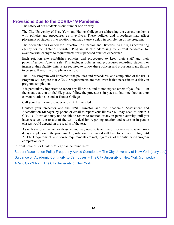# <span id="page-9-0"></span>**Provisions Due to the COVID-19 Pandemic**

The safety of our students is our number one priority.

The City University of New York and Hunter College are addressing the current pandemic with policies and procedures as it evolves. These policies and procedures may affect placement of students into rotations and may cause a delay in completion of the program.

The Accreditation Council for Education in Nutrition and Dietetics, ACEND, as accrediting agency for the Dietetic Internship Program, is also addressing the current pandemic, for example with changes to requirements for supervised practice experience.

Each rotation site establishes policies and procedures to keep their staff and their patients/residents/clients safe. This includes policies and procedures regarding students or interns at their facility. Interns are required to follow these policies and procedures, and failure to do so will result in disciplinary action.

The IPND Program will implement the policies and procedures, and completion of the IPND Program will require that ACEND requirements are met, even if that necessitates a delay in program completion.

It is particularly important to report any ill health, and to not expose others if you feel ill. In the event that you do feel ill, please follow the procedures in place at that time, both at your current rotation site and at Hunter College.

Call your healthcare provider or call 911 if needed.

Contact your preceptor and the IPND Director and the Academic Assessment and Accreditation Manager by phone or email to report your illness.You may need to obtain a COVID-19 test and may not be able to return to rotation or any in-person activity until you have received the results of the test. A decision regarding rotation and return to in-person classes would depend on the results of the test.

As with any other acute health issue, you may need to take time off for recovery, which may delay completion of the program. Any rotation time missed will have to be made up for, until ACEND requirements and course requirements are met, regardless of the anticipated program completion date.

Current policies for Hunter College can be found here:

[Student Vaccination Policy Frequently Asked Questions –](https://www.cuny.edu/coronavirus/faqs/) The City University of New York (cuny.edu)

[Guidance on Academic Continuity to Campuses –](https://www.cuny.edu/coronavirus/academic-continuity/guidance-on-academic-continuity-to-campuses/#Guidance-Health-Human-Service-Professions) The City University of New York (cuny.edu)

#CantStopCUNY – [The City University of New York](https://www.cuny.edu/coronavirus/)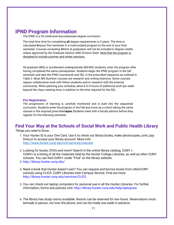# <span id="page-10-0"></span>**IPND Program Information**

The IPND is a 53-credit post-baccalaureate degree curriculum.

The total time limit for completing **all** degree requirements is 3 years. The time is calculated fomyour first semester in a matriculated program to the end of your final semester: Courses exceeding telimit at graduation will not be included in degree credits unless approved by the Graduate Advisor AND Division Dean. Note that the program is designed to include summer and winter sessions.

All graduate (MS) or accelerated undergraduate (BS-MS) students, enter the program after having completed the same prerequisites. Students begin the IPND program in the fall semester and take the IPND coursework and SEL in the prescribed sequence as outlined in Table 2. Most MS Nutrition courses are research and writing intensive. Some courses require collaborative work with fellow students and/or research with the external community. When planning your schedule, allow 6 to 9 hours of additional work per week beyond the class meeting time, in addition to the time required for the SEL.

#### **Pre-Registration**

The progression of learning is carefully monitored and is built into the sequential curriculum. Students enter the program in the Fall and move as a cohort taking the same classes in the required prescribed super Students meet with a faculty advisor before they register for the following semester.

# <span id="page-10-1"></span>**Find Your Way at the Schools of Social Work and Public Health Library**

*Things you need to know…*

- 1. Your Hunter ID is your One Card. Use it to check out library books, make photocopies, print, pay fines,or to access your library account. More info: <http://www.hunter.cuny.edu/icit/services/onecard>
- 2. Looking for books, DVDs and more? Search in the online library catalog, CUNY +. CUNY+ is a listing of all the materials held by the Hunter College Libraries, as well as other CUNY schools. You can find CUNY+ under "Find" on the library website:
- 3. <http://library.hunter.cuny.edu/>
- 4. Need a book that Hunter doesn't own? You can request and borrow books from otherCUNY schools using CLICS: CUNY Libraries Inter-Campus Service. Find out more: <http://library.hunter.cuny.edu/services/CLICS>
- 5. You can check out laptop computers for personal use in all the Hunter Libraries. For further information, forms and policies visit: <http://library.hunter.cuny.edu/help/laptopuse>
- 6. The library has study rooms available. Rooms can be reserved for two hours. Reservations must bemade in person, not over the phone, and can be made one week in advance.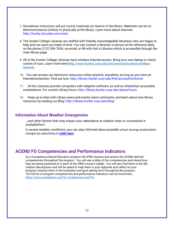- 7. Sometimes instructors will put course materials on reserve in the library. Materials can be on electronicreserve (online) or physically at the library. Learn more about reserves: <http://hunter.docutek.com/eres/>
- 8. The Hunter College Libraries are staffed with friendly, knowledgeable librarians who are happy to help and can save you loads of time. You can contact a librarian in person at the reference desk, on the phone (212) 396-7656, via email, or IM with *Ask A Librarian* which is accessible through the main library page.
- 9. All of the Hunter College Libraries have wireless Internet access. Bring your own laptop or check outone of ours. Learn more here: http://www.hunter.cuny.edu/icit/services/hunters-wireless[network](http://www.hunter.cuny.edu/icit/services/hunters-wireless-network)
- 10. You can access our electronic resources online anytime, anywhere, as long as you have an Internetconnection. Find out how: <http://library.hunter.cuny.edu/find/accessfromhome>
- 11. All the Libraries provide computers with adaptive software, as well as wheelchair accessible workstations. For current Library hours: <http://library.hunter.cuny.edu/about/hours>
- 12. Keep up to date with Library news and events, leave comments, and learn about new library resources by reading our Blog: <http://library.hunter.cuny.edu/blog/>

### <span id="page-11-0"></span>**Information About Weather Emergencies**

**…**and other factors that may impact your attendance at rotation sites or coursework is availablefrom:

In severe weather conditions, you can stay informed about possible school closings andschedule changes by subscribing to **CUNY Alert.**

# <span id="page-11-1"></span>**ACEND FG Competencies and Performance Indicators**

As a Competency Based Education program the IPND teaches and assess the ACEND defined competencies throughout the program. You will see a table of the competencies and where/how they are being assessed at in each of the IPND course's syllabi. You will also find them in the SEL rotation descriptions and will be asked to map them in your logbooks and reflect on your progress towards them in the evaluation and goal setting form throughout the program. The full list of program competencies and performance indicators can be found here: [https://www.eatrightpro.org/FG competencies and PIs](https://www.eatrightpro.org/-/media/eatrightpro-files/acend/futureeducationmodel/competenciesperformanceindicators-graduate-degree.pdf?la=en&hash=38BEFD8BC04E885DF2716AB8EE36DCB296719324)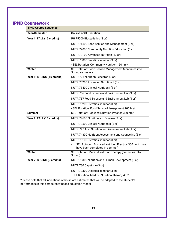# <span id="page-12-0"></span>**IPND Coursework**

| <b>IPND Course Sequence</b> |                                                                                          |  |
|-----------------------------|------------------------------------------------------------------------------------------|--|
| <b>Year/Semester</b>        | <b>Course or SEL rotation</b>                                                            |  |
| Year 1: FALL (15 credits)   | PH 75000 Biostatistics (3 cr)                                                            |  |
|                             | NUTR 71500 Food Service and Management (3 cr)                                            |  |
|                             | NUTR 72000 Community Nutrition Education (3 cr)                                          |  |
|                             | NUTR 73100 Advanced Nutrition I (3 cr)                                                   |  |
|                             | NUTR 70000 Dietetics seminar (3 cr)                                                      |  |
|                             | - SEL Rotation: Community Nutrition 150 hrs*                                             |  |
| <b>Winter</b>               | SEL Rotation: Food Service Management (continues into<br>Spring semester)                |  |
| Year 1: SPRING (16 credits) | NUTR 725-Nutrition Research (3 cr)                                                       |  |
|                             | NUTR 73200 Advanced Nutrition II (3 cr)                                                  |  |
|                             | NUTR 73400 Clinical Nutrition I (3 cr)                                                   |  |
|                             | NUTR 756 Food Science and Environment Lec (3 cr)                                         |  |
|                             | NUTR 757 Food Science and Environment Lab (1 cr)                                         |  |
|                             | NUTR 70200 Dietetics seminar (3 cr)                                                      |  |
|                             | - SEL Rotation: Food Service Management 200 hrs*                                         |  |
| <b>Summer</b>               | SEL Rotation: Focused Nutrition Practice 300 hrs*                                        |  |
| Year 2: FALL (13 credits)   | NUTR 74600 Nutrition and Disease (3 cr)                                                  |  |
|                             | NUTR 73500 Clinical Nutrition II (3 cr)                                                  |  |
|                             | NUTR 747 Adv. Nutrition and Assessment Lab (1 cr)                                        |  |
|                             | NUTR 74800 Nutrition Assessment and Counseling (3 cr)                                    |  |
|                             | NUTR 70100 Dietetics seminar (3 cr)                                                      |  |
|                             | SEL Rotation: Focused Nutrition Practice 300 hrs* (may<br>have been completed in summer) |  |
| Winter                      | SEL Rotation: Medical Nutrition Therapy (continues into<br>Spring)                       |  |
| Year 2: SPRING (9 credits)  | NUTR 73300 Nutrition and Human Development (3 cr)                                        |  |
|                             | NUTR 780 Capstone (3 cr)                                                                 |  |
|                             | NUTR 70300 Dietetics seminar (3 cr)                                                      |  |
|                             | - SEL Rotation: Medical Nutrition Therapy 400*                                           |  |

\*Please note that all indications of hours are estimates that will be adapted to the student's performancein this competency-based education model.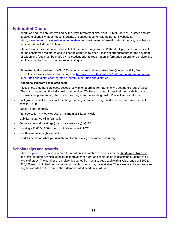# <span id="page-13-0"></span>**Estimated Costs**

All tuition and fees are determined by the City University of New York (CUNY) Board of Trustees and are subject to change without notice. Students are encouraged to visit the Bursars website at <http://www.hunter.cuny.edu/bursar/tuition-fees> for most recent information about in-state, out-of-state andinternational student tuition.

Students must pay tuition and fees in full at the time of registration. Without full payment students will not be considered registered and will not be admitted to class. Financial arrangements for the payment of tuition and fees must be made by the student prior to registration. Information on grants, scholarships andloans can be found in the graduate catalogue.

**Estimated tuition and fees** (INCLUDES tuition charges and mandatory fees (student activity fee, consolidated service fee and technology fee [http://www.hunter.cuny.edu/nutrition/integrated-program](http://www.hunter.cuny.edu/nutrition/integrated-program-in-)[in-n](http://www.hunter.cuny.edu/nutrition/integrated-program-in-)utrition-and-dietetics/integrated-program-in-nutrition-and-dietetics-1

### **Additional Program associated costs:**

Please note that there are costs associated with onboarding for rotations. We estimate a total of \$300. The costs depend on the individual rotation sites. We have no control over their demands but aim to choose sites preferentially that cover the charges for onboarding costs. Please keep us informed.

- Background checks (may include fingerprinting, criminal background checks, and various health  $checks) \sim $300$
- Books ~ \$400/annually
- Transportation  $\sim$  NYC MetroCard minimum of \$32 per week
- Liability insurance  $\sim$ \$36/annually
- Conferences and meetings (costs for events vary)  $\sim$ \$100
- Housing  $\sim$ \$1,000-4,000/month highly variable in NYC
- Health insurance (highly variable)
- Food**:** Depends on what you usually eat; Hunter College estimates ~\$3402/yr.

### <span id="page-13-1"></span>**Scholarships and Awards**

The best place to begin your search for nutrition scholarship awards is with the Academy of Nutrition and DittsFoundation, which is the largest provider of nutrition scholarships to deserving students at all levels of study. The number of scholarships varies from year to year, each with a value range of \$500 to \$10,000 each. A limited number of departmental grants may be available. These are need based and can only be awarded to those who show demonstrated need on a FAFSA.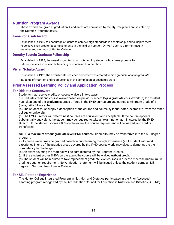### <span id="page-14-0"></span>**Nutrition Program Awards**

These awards are given at graduation. Candidates are nominated by faculty. Recipients are selected by the Nutrition Program faculty.

### <span id="page-14-1"></span>**Irene Von Cseh Award**

Established in 1989 to encourage students to achieve high standards in scholarship, and to inspire them to achieve even greater accomplishments in the field of nutrition. Dr. Von Cseh is a former faculty member and alumnus of Hunter College.

### <span id="page-14-2"></span>**Dorothy Epstein Graduate Fellowship**

Established in 1988, the award is granted to an outstanding student who shows promise for futureexcellence in research, teaching or coursework in nutrition.

### <span id="page-14-3"></span>**Vivian Schulte Award**

Established in 1962, the award conferred each semester was created to aide *graduate or undergraduate* students of Nutrition and Food Science in the completion of academic work

# <span id="page-14-4"></span>**Prior Assessed Learning Policy and Application Process**

### <span id="page-14-5"></span>**For Didactic Coursework**

Students may receive credits or course waivers in two ways

1) Graduate credit and course waiver based on previous, recent (5yrs) **graduate** coursework (a) If a student has taken one of the **graduate** courses offered in the IPND curriculum and earned a minimum grade of B (pass/fail NOT accepted):

(b) The student must supply a description of the course and course syllabus, notes, exams etc. from the other college or university.

(c) The IPND Director will determine if courses are equivalent and acceptable. If the course appears substantially equivalent, the student may be required to take an examination administered by the IPND Director. If the student scores  $\mathbb I$  80% on the exam, the course requirement will be waived, and credits transferred.

NOTE: **A maximum of four graduate level IPND courses (**12 credits) may be transferred into the MS degree program.

2) A course waiver may be granted based on prior learning through experience (a) A student with work experience in one of the practice areas covered by the IPND course work, may elect to demonstrate their competency by challenge.

(b) An exam covering the material will be administered by the Program Director.

(c) If the student scores  $\text{\textdegreeled{}}80\%$  on the exam, the course will be waived *without credit*.

(d) The student will be required to take replacement graduate level courses in order to meet the minimum 53 credit graduation requirement. No verification statement will be issued unless the student earns an MS degree in Nutrition from Hunter College.

### <span id="page-14-6"></span>**For SEL Rotation Experience**

The Hunter College Integrated Program in Nutrition and Dietetics participates in the Prior Assessed Learning program recognized by the Accreditation Council for Education in Nutrition and Dietetics (ACEND).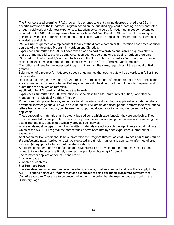The Prior Assessed Learning (PAL) program is designed to grant varying degrees of credit for SEL in specific rotations of the Integrated Program based on the qualified applicant's learning, as demonstrated through paid work or volunteer experiences. Experiences considered for PAL must meet competencies required by ACEND that are *equivalent to an entry-level dietitian*. Credit for SEL is given for learning and gaining knowledge, not for work experience, thus is given when an applicant demonstrates an increase in knowledge and skills.

PAL will **not** be granted as a replacement for any of the didactic portion or SEL rotation associated seminar courses of the Integrated Program in Nutrition and Dietetics.

Experiences submitted for PAL will have taken place **as part of a professional career**, e.g. as a chef in charge of managerial tasks, or as employee at an agency operating or developing nutrition programs. PAL credit will not exceed 1/2 of the total hours of the SEL rotations (currently = 525 hours) and does not replace the experience integrated into the coursework in the form of projects/assignments.

The tuition and fees for the Integrated Program will remain the same, regardless of the amount of PAL granted.

Submission of a request for PAL credit does not guarantee that such credit will be awarded, in full or in part as requested.

Decisions regarding the awarding of PAL credit are at the discretion of the director of the SEL. Applicants are encouraged to discuss potential PAL experiences with the director of the SEL prior to preparing and submitting the application materials.

### **Application for PAL credit shall include the following:**

Experiences submitted for PAL evaluation must be classified as: Community Nutrition, Food Service Management, or Medical Nutrition Therapy.

Projects, reports, presentations, and educational materials produced by the applicant which demonstrate advanced knowledge and skills will be evaluated for PAL credit. Job descriptions, performance evaluations, letters from clients, and so on, can be used as supporting documentation of knowledge and skills, as applicable.

These supporting materials shall be clearly labeled as to which experience(s) they are applicable. They must be provided as one pdf file. This can easily be achieved by scanning the material and combining the scans into one file. Copy shops typically provide such service.

All materials must be typewritten. Hand-written materials are **not** acceptable. Applicants should indicate which of the ACEND FEM graduate competencies have been met by each experience submitted for evaluation.

Application for PAL credit should be submitted to the Program Director *at least 6 weeks prior to the start of the studentship term.* Applications will be evaluated in a timely manner, and applicants informed of credit awarded (if any) prior to the start of the studentship term.

Additional documentation / clarification of activities must be provided to the Program Director upon request. Failure to do so in a timely manner may preclude obtaining PAL credit.

The format for application for PAL consists of:

### 1. a cover page

2. a table of contents

3. a **Summary Page**,

4. a **Narrative** describing each experience, what was done, what was learned, and how these apply to the ACEND learning objectives. *If more than one experience is being described, a separate narrative is to describe each one.* These are to be presented in the same order that the experiences are listed on the Summary Page.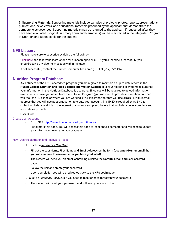5. **Supporting Materials**. Supporting materials include samples of projects, photos, reports, presentations, publications, newsletters, and educational materials produced by the applicant that demonstrate the competencies described. Supporting materials may be returned to the applicant if requested, after they have been evaluated. Original Summary Form and Narrative(s) will be maintained in the Integrated Program in Nutrition and Dietetics file for the student.

### <span id="page-16-0"></span>**NFS Listserv**

Please make sure to subscribe by doing the following---

Click here and follow the instructions for subscribing to NFS-L. If you subscribe successfully, you shouldreceive a 'welcome' message within minutes.

If not successful, contact the Hunter Computer Tech area (ICIT) at (212)-772-4946.

### <span id="page-16-1"></span>**Nutrition Program Database**

As a student of the IPND accredited program, you are *required* to maintain an up-to-date record in the **Hunter College Nutrition and Food Science Information System**. It is your responsibility to make surethat your information in the Nutrition Database is accurate. Since you will be required to upload information even *after* you have graduated from the Nutrition Program (you will need to provide information on when you took the RD exam, or where you are working, etc.), it is important that you use aNON-HUNTER email address that you will use post-graduation to create your account. The IPND is required by ACEND to collect such data, and it is in the interest of students and practitioners that such data be as complete and accurate as possible.

### User Guide

#### Create User Account

- ‐ Go to NFS <http://www.hunter.cuny.edu/nutrition-grad>
- ‐ : Bookmark this page. You will access this page at least once a semester and will need to update your information even after you graduate.

#### New User Registration and Password Reset

- A. Click on *Register as New User*
- ‐ Fill out the Last Name, First Name and Email Address on the form **(use a non-Hunter email that you will continue to use even after you have graduated)**
- ‐ The system will send you an email containing a link to the **Confirm Email and Set Password** page
- ‐ Follow the link and create your password
- ‐ Upon completion you will be redirected back to the **NFS Login** page

B. Click on *Forgot my Password* if you need to reset or have forgotten your password,

The system will reset your password and will send you a link to the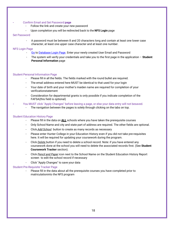### **‐** Confirm Email and Set Password **page**

- ‐ Follow the link and create your new password
	- ‐ Upon completion you will be redirected back to the **NFS Login** page

#### Set Password

‐ A password must be between 8 and 20 characters long and contain at least one lower case character, at least one upper case character and at least one number.

#### NFS Login Page

- Go to Database Login Page. Enter your newly created User Email and Password
- ‐ The system will verify your credentials and take you to the first page in the application **Student Personal Information** page

#### Student Personal Information Page

- Please fill in all the fields. The fields marked with the round bullet are required.
- The email address entered here MUST be identical to that used for your login
- ‐ Your date of birth and your mother's maiden name are required for completion of your verificationstatement
- ‐ Consideration for departmental grants is only possible if you indicate completion of the FAFSA(this field is optional)

#### **‐** You MUST click "Apply Changes" before leaving a page, or else your data entry will not besaved.

The navigation between the pages is solely through clicking on the tabs on top.

#### Student Education History Page

- ‐ Please fill in the data on **ALL** schools where you have taken the prerequisite courses
- ‐ Only School Name and city and state part of address are required. The other fields are optional.
- ‐ Click *Add School* button to create as many records as necessary
- ‐ Please enter Hunter College in your Education History even if you did not take pre-requisites here. It will be required for updating your coursework during the program.
- ‐ Click *Delete* button if you need to delete a school record. Note: if you have entered any coursework done at the school you will need to delete the associated records first. (See **Student Coursework Tracker** section).
- ‐ Click *Pencil and Paper* icon next to the School Name on the Student Education History Report screen to edit the school record if necessary
- ‐ Click "Apply Changes" to save your data

#### Student Pre-Requisite Tracker Page

‐ Please fill in the data about all the prerequisite courses you have completed prior to matriculationinto the NFS program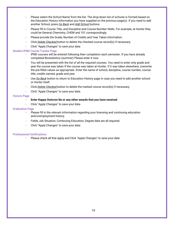- Please select the School Name from the list. The drop-down list of schools is formed based on the Education History Information you have supplied on the previous page(s). If you need to add another School, press *Go Back* and *Add School* buttons.
- ‐ Please fill in Course Title, and Discipline and Course Number fields. For example, at Hunter they could be General Chemistry, CHEM and 101 correspondingly.
- ‐ Please provide the Grade, Number of Credits and Year Taken information.
- ‐ Click *Delete Checked* button to delete the checked course record(s) if necessary.
- ‐ Click "Apply Changes" to save your data

#### Student IPND Course Tracker Page

- ‐ IPND courses will be entered following their completion each semester. If you have already completed Biostatistics (summer) Please enter it now.
- You will be presented with the list of all the required courses. You need to enter only grade and year the course was taken If the course was taken at Hunter. If it was taken elsewhere, overwrite the pre-filled values as appropriate. Enter the name of school, discipline, course number, course title, credits earned, grade and year.
- ‐ Use *Go Back* button to return to Education History page in case you need to add another school or Hunter itself.
- ‐ Click *Delete Checked* button to delete the marked course record(s) if necessary.
- ‐ Click "Apply Changes" to save your data

#### Honors Page

### ‐ **Enter Kappa Omicron Nu or any other awards that you have received**

‐ Click "Apply Changes" to save your data

#### Graduation Page

- ‐ Please fill in the relevant information regarding your licensing and continuing education and/oremployment history.
- ‐ Fields Job Situation, Continuing Education, Degree date are all required.
- ‐ Click "Apply Changes" to save your data

### Professional Certifications

‐ Please check all that apply and Click "Apply Changes" to save your date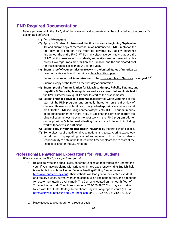# <span id="page-19-0"></span>**IPND Required Documentation**

Before you can begin the IPND, all of these essential documents must be uploaded into the program's designated software:

- (1) Complete **resume**
- (2) Apply for Student **Professional Liability Insurance beginning September 1st** and submit copy of memorandum of insurance to IPND Director on the first day of orientation. You must be covered by liability insurance throughout the entire IPND. While many siteshave contracts that use the CUNY liability insurance for students, some sites are not covered by this policy. Coverage limits are 1 million and 3 million, and the anticipated cost for the insurance is less than \$40 for the year.
- (3) Submit **proof of your permission to work in the United States of America**, e.g. passportor visa with work permit, as black & white copies

Submit your **record of immunization** to the Office of Health Services by **August <sup>1</sup>st.** Submit a copy of the form on the first day of orientation.

- (4) Submit **proof of immunization for Measles, Mumps, Rubella, Tetanus, and Hepatitis B, Varicella, Meningitis, as well as a current tuberculosis test** to the IPND Director by August  $1<sup>st</sup>$  prior to start of the first semester.
- (5) Submit **proof of a physical examination** performed within 3 months of the start of theIPND program, and annually thereafter, on the first day of classes. Please only submit proofthat you had a physical examination and are fit for the IPND, including contact withpatients. DO NOT submit results of blood tests other than titers in lieu of vaccinations, or findings from the physical exam unless relevant to your work in the IPND program. Aletter on the physician's letterhead attesting that you are fit to work, including work withpatients, is sufficient.
- (6) Submit **copy of your medical health insurance** by the first day of classes.
- (7) Some sites require additional vaccinations and tests. A urine toxicology report and fingerprinting are often required. It is the student's responsibility to obtain the test resultsin time for clearance to start at the respective site for the SEL rotation.

### <span id="page-19-1"></span>**Professional Behavior and Expectations for IPND Students**

*When you enter the IPND, we expect that you will:*

- 1. Be able to write and speak clear, coherent English so that others can understand you. If you have problems with writing or limited experience writing English, help is available through the Hunter College Reading/Writing Center online at [http://rwc.hunter.cuny.edu/. T](http://rwc.hunter.cuny.edu/)heir website will lead you to the Center's student and faculty guides, current workshop schedule, on-line handout file, and directions for e-tutoring (tutoring over e-mail). The Center is located on the fourth floor of Thomas Hunter Hall. The phone number is 212-650-3937. You may also get in touch with the Hunter College International English Language Institute (IELI) at <http://eslnyc.hunter.cuny.edu/en/index.asp> or 212-772-4290 or 212-772-4294.
- 2. Have access to a computer on a regular basis.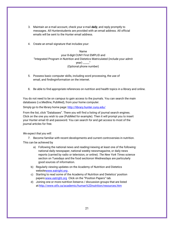- 3. Maintain an e-mail account, check your e-mail *daily*, and reply promptly to messages. All Hunterstudents are provided with an email address. All official emails will be sent to the Hunter email address.
- 4. Create an email signature that includes your:

#### Name

your 8-digit CUNY First EMPLID and "Integrated Program in Nutrition and Dietetics Matriculated (include your admit year) \_\_\_\_\_" (Optional phone number)

- 5. Possess basic computer skills, including word processing, the use of email, and findinginformation on the internet.
- 6. Be able to find *appropriate* references on nutrition and health topics in a library and online.

You do not need to be on campus to gain access to the journals. You can search the main databases (i.e.Medline, PubMed), from your home computer.

Simply go to the library home page: <http://library.hunter.cuny.edu/>

From the list, click "Databases". There you will find a listing of journal search engines. Click on the one you wish to use (PubMed for example). Then it will prompt you to insert your Hunter email ID and password. You can search for and get access to most of the journal articles for free.

*We expect that you will:*

7. Become familiar with recent developments and current controversies in nutrition.

This can be achieved by

- a) Following the national news and reading/viewing at least one of the following: national daily newspaper, national weekly newsmagazine, or daily news reports (carried by radio or television, or online). *The New York Times* science section on Tuesdays and the food sectionon Wednesdays are particularly good sources of information.
- b) Regularly viewing updates on the Academy of Nutrition and Dietetics websit[ewww.eatright.org](http://www.eatright.org/).
- c) Starting to read some of the Academy of Nutrition and Dietetics' position papers[:www.eatright.org](http://www.eatright.org/) Click on the "Position Papers" tab.
- d) Joining one or more nutrition listservs / discussion groups that are listed a[t:http://www.stfx.ca/academic/human%2Dnutrition/resources.htm](http://www.stfx.ca/academic/human-nutrition/resources.htm)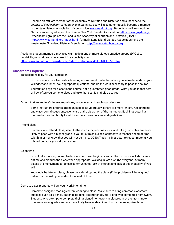8. Become an affiliate member of the Academy of Nutrition and Dietetics and subscribe to the *Journal of the Academy of Nutrition and Dietetics*. You will also automatically become a member in the state dietetic association of your choice: [www.eatright.org. S](http://www.eatright.org/)tudents who live or work in NYC are encouraged to join the Greater New York Dietetic Association [\(http://www.gnyda.org/\)](http://www.gnyda.org/)) Other nearby groups are the Long Island Academy of Nutrition and Dietetics (LIAND http[s://www.eatrightli.org/index.html](http://www.eatrightli.org/index.html) , formerly Long Island Dietetic Association) and the Westchester/Rockland Dietetic Association. [http://www.eatrightwrda.org](http://www.eatrightwrda.org/)

Academy student members may also want to join one or more dietetic practice groups (DPGs) to buildskills, network, and stay current in a specialty area: [http://www.eatright.org/cps/rde/xchg/ada/hs.xsl/career\\_481\\_ENU\\_HTML.htm](http://www.eatright.org/cps/rde/xchg/ada/hs.xsl/career_481_ENU_HTML.htm)

### <span id="page-21-0"></span>**Classroom Etiquette**

Take responsibility for your education

Instructors are here to create a learning environment – whether or not you learn depends on your willingness to listen, ask appropriate questions, and do the work necessary to pass the course.

Your tuition pays for a seat in the course, not a guaranteed good grade. What you do in that seat or how often you come to class and take that seat is entirely up to you!

Accept that instructors' classroom policies, procedures and teaching styles vary.

Some instructors enforce attendance policies vigorously; others are more lenient. Assignments and classroom discussions/events are at the discretion of the instructor. Each instructor has the freedom and authority to set his or her course policies and guidelines.

#### Attend class

Students who attend class, listen to the instructor, ask questions, and take good notes are more likely to pass with a higher grade. If you must miss a class, contact your teacher ahead of time tolet him or her know that you will not be there. DO NOT ask the instructor to repeat material you missed because you skipped a class.

#### Be on time

Do not take it upon yourself to decide when class begins or ends. The instructor will start class ontime and dismiss the class when appropriate. Walking in late disturbs everyone. At many places of employment, tardiness communicates lack of interest and lack of dependability. If you will

knowingly be late for class, please consider dropping the class (if the problem will be ongoing) ordiscuss this with your instructor ahead of time.

#### Come to class prepared – Turn your work in on time

Complete assigned readings before coming to class. Make sure to bring common classroom supplies such as a pencil, paper, textbooks, test materials, etc. along with completed homework. Students who attempt to complete their assigned homework in classroom at the last minute oftenearn lower grades and are more likely to miss deadlines. Instructors recognize those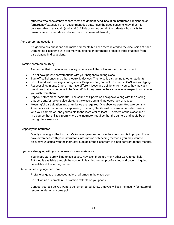students who consistently cannot meet assignment deadlines. If an instructor is lenient on an "emergency"extension of an assignment due date, have the good sense to know that it is unreasonable to askagain (and again). \* This does not pertain to students who qualify for reasonable accommodations based on a documented disability.

#### Ask appropriate questions

It's good to ask questions and make comments but keep them related to the discussion at hand. Dominating class time with too many questions or comments prohibits other students from participating in discussions.

#### Practice common courtesy

Remember that in college, as is every other area of life, politeness and respect count.

- Do not have private conversations with your neighbors during class.
- Turn off cell phones and other electronic devices. The noise is distracting to other students.
- Do not send text messages during class. Despite what you think, instructors CAN see you typing.
- Respect all opinions. Others may have different ideas and opinions from yours, they may ask questions that you perceive to be "stupid," but they deserve the same level of respect from you as you wish from them.
- Unpack before class/pack after. The sound of zippers on backpacks along with the rustling ofpapers and/or jackets also disrupts the classroom and indicates lack of respect.
- Meaningful **participation and attendance are required**. One absence permitted w/o penalty. Attendance will be defined as appearing on Zoom, Blackboard, or some other video device, with your camera on, and you visible to the instructor at least 95 percent of the class time if in a course that utilizes zoom where the instructor requires that the camera and audio be on during class sessions

#### Respect your instructor

Openly challenging the instructor's knowledge or authority in the classroom is improper. If you have differences with your instructor's information or teaching methods, you may want to discussyour issues with the instructor outside of the classroom in a non-confrontational manner.

#### If you are struggling with your coursework, seek assistance.

Your instructors are willing to assist you. However, there are many other ways to get help: Tutoring is available through the academic learning center, proofreading and paper critiquing isavailable at the writing center.

#### Acceptable Language and Tone

Profane language is unacceptable, at all times in the classroom.

Do not whine or complain. This action reflects on you poorly!

Conduct yourself as you want to be remembered. Know that you will ask the faculty for letters of recommendation at some point.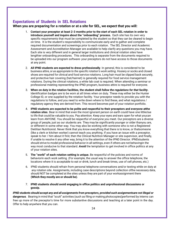# <span id="page-23-0"></span>**Expectations of Students in SEL Rotations**

### **When you are preparing for a rotation or at a site for SEL, we expect that you will:**

- 1. **Contact your preceptor at least 2-3 months prior to the start of each SEL rotation in order to introduce yourself and inquire about the "onboarding" process.** Each site has its own very specific requirements that must be completed by the student so that they can be cleared to begin on time. It is the student's responsibility to communicate early and to gather and complete required documentation and screenings prior to each rotation. The SEL Director and Academic Assessment and Accreditation Manager are available to help clarify any questions you may have. Each site is very different and in general larger institutions and clinical rotation sites have lengthier onboarding procedures. This onboarding is separate from the documents required to be uploaded into our program software- your preceptors do not have access to those documents at any point.
- 2. **All IPND students are expected to dress professionally**. In general, this is considered to be business attire, or *as appropriate to the specific rotation's work setting*. Hosiery or socks and closed shoes are required for clinical and food service rotations. Long hair must be clipped back securely, and protective hair covering (hat/hairnet) is generally required for food service management rotations. During the clinical rotations, a white lab coat is required. When attending a seminar or professional meeting representing the IPND program, business attire is required for everyone.
- 3. **When on duty in the rotation facilities, the student shall** *follow the regulations for that facility***.** Identification badges are to be worn at all times when on duty. These may either be the Hunter College ID, or one supplied by the rotation facility. Your preceptor needs to provide you with the regulations to follow, and you need to write down where to find these, and what regulations / regulatory agency they are derived from. This record becomes part of your rotation portfolio.
- 4. **IPND students are expected to be polite and respectful to their preceptors and everyone atthe rotation sites**. Bear in mind that even the most ignorant person on earth could have one littleclue to life that could be valuable to you. Pay attention. Keep your eyes and ears open for what youcan learn from ANYONE. You should be respectful of everyone you meet. Our preceptors are a diverse group of people, just as our students are. They may be significantly younger or older thanyou are, or different in some other way. You may also be working with someone who is not a Registered Dietitian Nutritionist. Never think that you know everything that there is to know, or thatsomeone (like a clerk or kitchen worker) cannot teach you anything. If you have an issue with a preceptor, speak to her / him about it first, then the Clinical Nutrition Manager or site supervisor, and finally, if unable to resolve it any other way, bring it to the attention of the IPND Director. IPNDstudents should strive to model professional behavior in all settings, even if others are not behavingin the way most conducive to that standard. *Avoid* the temptation to get involved in office politics at any of your rotation sites.
- 5. **The "world" of each rotation setting is unique.** Be respectful of the policies and norms of behaviorin each work setting. (For example, the usual way to answer the office telephone, the locations where it is acceptable to eat or drink, lunch and break times, use of cell phones, etc.)
- 6. IPND students should refrain from personal telephone conversations and/or texting while on duty at any rotation site. Assignments, including case descriptions beyond collection ofthe necessary data, should NOT be completed at the sites unless they are part of your workassignment there **(Which they mostly are or should be)**.
- 7. **IPND students should avoid engaging in office politics and unprofessional discussions or gossip.**

*IPND students should accept any and all assignments from preceptors, provided such assignmentsare not illegal or dangerous.* Bearing in mind that "scutt" activities (such as filing or making photocopies)performed by interns can free up more of the preceptor's time for more substantive discussions and teaching at a later point in the day. Offer to help anywhere that you can.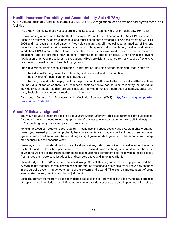# <span id="page-24-0"></span>**Health Insurance Portability and Accountability Act (HIPAA)**

All IPND students should familiarize themselves with the HIPAA regulations (see below) and complywith these in all facilities

(Also known as the Kennedy-Kassebaum Bill, the Kassebaum-Kennedy Bill, K2, or Public Law 104-191.)

HIPAA (hip-uh) which stands for the Health Insurance Portability and Accountability Act of 1996, is a set of rules to be followed by doctors, hospitals, and other health care providers. HIPAA took effect on April 14, 2006 and has been amended since. HIPAA helps ensure that all medical records, medical billing, and patient accounts meet certain consistent standards with regards to documentation, handling and privacy. In addition, HIPAA requires that all patients be able to access their own medical records, correct errors or omissions, and be informed how personal information is shared or used. Other provisions involve notification of privacy procedures to the patient. HIPAA provisions have led to many cases of extensive overhauling of medical record and billing systems.

"Individually identifiable health information" is information, including demographic data, that relates to:

- the individual's past, present, or future physical or mental health or condition,
- the provision of health care to the individual, or

the past, present, or future payment for the provision of health care to the individual, and that identifies the individual or for which there is a reasonable basis to believe can be used to identify the individual. Individually identifiable health information includes many common identifiers, such as name, address, birth date, Social Security Number, or medical record number.

Also see: Centers for Medicare and Medicaid Services (CMS) [http://www.hhs.gov/hipaa/for](http://www.hhs.gov/hipaa/for-)professionals/index.html

## <span id="page-24-1"></span>**About "Clinical Judgment"**

You may hear your preceptors speaking about *using clinical judgment*. This is sometimes a difficult concept for students, who are used to looking up the "right" answer to every question. However, clinical judgment isn't something that you can just pick up from a book.

For example, you can study all about quantum mechanics and spectroscopy and eye/brain physiology, but unless you learned your colors, probably back in elementary school, you will still not understand what "green" means, or when to describe something as "light green" or "dark green" etc. The technical knowledge may be there, but the concept is not.

Likewise, you can think about cooking: read food magazines, watch the cooking channel, read food science textbooks, and STILL not be a good cook. Experience, trial and error, and finally an almost automatic sense of what *feels* right are important determinants distinguishing a competent cook following a recipe exactly, from an excellent cook who just does it, and can be creative and innovative with it.

Clinical judgment is *different from critical thinking*. Critical thinking looks at the big picture and how everything fits together, how this new piece of information attaches to what you already know, how changes in one part of a system impact other parts of the system, or the world. This is all an important part of being an educated person, but it is not clinical judgment.

Clinical judgment stems from a base of evidence-based technical knowledge but adds multiple experiences of applying that knowledge in real life situations where random actions are also happening. Like doing a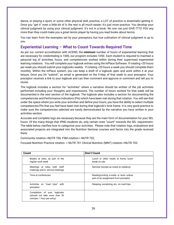dance, or playing a sport, or some other physical skill, practice, a LOT of practice is essentialto getting it. Once you "get it" even a little bit of it, the rest is all much easier; it's just more practice. You develop your clinical judgment by using your clinical judgment. It's not in a book. No one can just GIVE ITTO YOU any more than they could make you a great tennis player by having you read books about tennis.

You can learn from the examples set by your preceptors, but true cultivation of clinical judgment is up to you.

# <span id="page-25-0"></span>**Experiential Learning – What to Count Towards Required Time**

As per our current accreditation with ACEND, the *minimum* number of hours of experiential learning that are necessary for credentialing is 1000, our program includes 1050. Each student is required to maintain a personal log of activities, hours, and competencies worked within during their supervised experiential learning rotations. You will complete your logbook entries using the InPlace Software. If rotating >20 hours per week you should submit your logbooks weekly. If rotating <20 hours a week you should complete them monthly. Within the InPlace system, you can keep a draft of a logbook open and work within it at your leisure. Once you hit "submit", an email is generated on the Friday of that week to your preceptor. Your preceptor receives a link to your logbook and can then comment and approve or comment and tell you to revise.

The logbook includes a section for "activities" where a narrative should be written of the job activities performed including your thoughts and impressions. The number of hours worked for that week will be documented in the next section of the logbook. The logbook also includes a section for documenting the competencies and Performance Indicators (PIs) which have been met during that rotation. You will see that under the space where you write your activities and define your hours, you have the ability to select multiple competencies/PIs that you feel have been met during that logbook's time frame. It is very good practice to make sure the competencies selected are easily demonstrated by the narrative you have written in your activities section.

Accurate and complete logs are necessary because they are the main form of documentation for your SEL hours. Of the many things that IPND students do, only certain ones "count" towards the SEL requirement. The table below clarifies how to categorize your activities. Please note that rotation logs, evaluations and associated projects are integrated into the Nutrition Seminar courses and factor into the grade received there:

Community rotation->NUTR 700, FSM rotation-> NUTR 702,

Focused Nutrition Practice rotation -> NUTR 701 Clinical Nutrition (MNT) rotation->NUTR 703.

| <b>Don't Count</b><br>Count                                                               |                                                                                 |
|-------------------------------------------------------------------------------------------|---------------------------------------------------------------------------------|
| Breaks at sites, as part of the<br>regular work week                                      | Lunch or other meals at home, lunch<br>break on site                            |
| Meetings at sites, both staff<br>meetings and in-service meetings                         | Seminar (except as noted on syllabus)                                           |
| Time at conferences                                                                       | Reading/writing e-mails or texts unless<br>part of an assignment from preceptor |
| Activities on "road trips" with<br>preceptor                                              | Sleeping, socializing, etc. on road trips                                       |
| Completion of your logbooks<br>(should not take more than 30<br>minutes-1 hour per entry) |                                                                                 |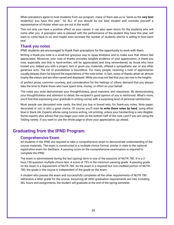When preceptors agree to host students from our program, many of them ask us to "send us the *very best*  student(s) you have this year." So ALL of you should be our best student and consider yourself a representative of Hunter when you are out in the world.

This not only can have a positive effect on your career; it can also open doors for the students who will come after you. A preceptor who is pleased with the performance of the student they have this year, will want to come back to us, and maybe even increase the number of students she/he is willing to host each year.

### <span id="page-26-0"></span>**Thank you notes**

IPND students are encouraged to thank their preceptors for the opportunity to work with them.

Writing a thank-you note is a small but gracious way to repay kindness and to make sure that others feel appreciated. Moreover, your note of thanks provides tangible evidence of your appreciation. A thank-you note, especially one that is hand-written, will be appreciated, and long remembered, by those who have hosted you, helped you with a project, lent or given you materials, offered a sympathetic ear, or any other generous acts. The list of possibilities is boundless. For many people, receiving a note of appreciation usually pleases them far beyond the expectations of the note-writer. In fact, notes of thanks attain an almost trophy-like status and are often saved and displayed. While you may not feel that you can rise to the heights

of perfect prose, common courtesy, and consideration for the feelings of others demand that you always take the time to thank those who have spent time, money, or effort on your behalf.

The notes you write demonstrate your thoughtfulness, good manners, and classiness. By demonstrating your thoughtfulness and attention to detail, the recipient's good opinion of you is reinforced. What's more, you'll find that expressing your gratitude in writing comes with a surprising level of personal satisfaction.

Most people use decorated note cards, the kind you buy in boxed sets, for thank-you notes. Note paper, decorated or not, is also a good choice. Of course, you'll want **to write these notes by hand**, using either blue or black ink. Experts advise using cursive writing, not printing, unless your handwriting is very illegible. Some experts also advise that you begin your note on the bottom half of the note card if you are using the folding variety. If you want to use the whole page to show your appreciation, go ahead.

# <span id="page-26-2"></span><span id="page-26-1"></span>**Graduating from the IPND Program**

## **Comprehensive Exam**

All students in the IPND are required to take a comprehensive exam to demonstrate understanding of the course materials. The exam is constructed in a multiple-choice format, similar in style to the national registration exam for dietitians. A passing score on the comprehensive examination is required to complete the IPND.

The exam is administered during the last (spring) term in one of the sessions of NUTR 780. It is a 2 hour,150-question multiple-choice test. A score of 75% is the minimum passing grade. A passing grade on the exam is a requirement of NUTR 780. As the exam is a required but non-credited portion of NUTR 780, the grade in the course is independent of the grade on the exam.

A student who passes the exam and successfully completes all the other requirements of NUTR 780 willreceive a letter grade for the course. Assuming all other graduation requirements are met, including SEL hours and assignments, the student will graduate at the end of the spring semester.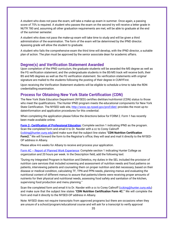A student who does not pass the exam, will take a make-up exam in summer. Once again, a passing score of 75% is required. A student who passes the exam on the second try will receive a letter grade in NUTR 780 and, assuming all other graduation requirements are met, will be able to graduate at the end of the summer semester.

A student who does not pass the make-up exam will take time to study and will be given a third administration of the examination. The form of the exam will be determined by the IPND director. Apassing grade will allow the student to graduate.

A student who fails the comprehensive exam the third time will develop, with the IPND director, a suitable plan of action. The plan must be approved by the senior associate dean for academic affairs.

### <span id="page-27-0"></span>**Degree(s) and Verification Statement Awarded**

Upon completion of the IPND curriculum, the graduate students will be awarded the MS degree as well as the FG verification statement; and the undergraduate students in the BS-MS track will receive both, their BS and MS degrees as well as the FG verification statement. Six verification statements with *original* signature are mailed to the students following the posting of their degree in CUNYFirst.

Upon receiving the Verification Statement students will be eligible to schedule a time to take the RDN credentialling examination.

### <span id="page-27-1"></span>**Process for Obtaining New York State Certification (CDN)**

The New York State Education Department (NYSED) certifies dietitian/nutritionist (CDN) status to those who meet the qualifications. The Hunter IPND program meets the educational components for New York State Certification. The NYSED web site,<http://www.op.nysed.gov/prof/diet/> provides the most up-todateinformation and application procedures for this credential.

When completing the application please follow the directions below for FORM 2. Form 1 has recently been made available online.

**Form 2- Certification of Professional Education:** Complete section 1 indicating IPND as the program. Scan the completed form and email it to Dr. Navder with a cc to Corey Calinoff (ccking@hunter.cuny.edu)and make sure that the subject line states "**CDN Nutrition Certification Form2."** We will forward the form to the Registrar's office; they will seal and mail it directly to the NYSED-OP address in Albany.

Please allow 4-6 weeks for Albany to receive and process your application.

Form 4C – Report of Planned Work Experience: Complete section 1 indicating Hunter College as organization and 20 hours per week. In the Description field, add the following text:

"During my Integrated Program in Nutrition and Dietetics, my duties in the SEL included the provision of nutrition care services that included screening and assessment of nutrition needs and food patterns on patients, interviewing patients and counseling them on proper nutrition and diet necessary, based on their disease or medical condition, calculating TF, TPN and PPN needs, planning menus and evaluating the nutritional content of different menus to assure that patients/clients were receiving proper amounts of nutrients for their physical and nutritional needs, assessing food safety and sanitation of the kitchen, supervising food production and menu planning."

Scan the completed form and email it to Dr. Navder with a cc to Corey Calinoff (colaing @hunter.cuny.edu) and make sure that the subject line states "**CDN Nutrition Certification Form 4C."** We will complete the form and mail it directly to the NYSED-OP address in Albany.

Note: NYSED does not require transcripts from approved programs but there are occasions when they are unsure of a school/program/educational course and will ask for a transcript to verify approval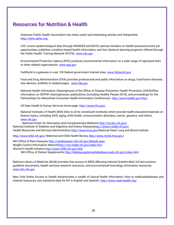# <span id="page-28-0"></span>**Resources for Nutrition & Health**

American Public Health Association has many useful and interesting articles and linksposted. <http://www.apha.org/>

CDC covers epidemiological data through WONDER and NCHS; advises travelers on health precautions;lists job opportunities; publishes condition-based health information; and lists distance learning programs offered through the Public Health Training Network (PHTN). [www.cdc.gov](http://www.cdc.gov/)

Environmental Protection Agency (EPA) produces environmental information on a wide range of topicsand links to other related organizations. [www.epa.gov](http://www.epa.gov/)

FedWorld is a gateway to over 100 federal government Internet sites. [www.fedworld.gov](http://www.fedworld.gov/)

Food and Drug Administration (FDA) provides professional and public information on drugs, food-borne illnesses, new devices, andlinks to related pages. [www.fda.gov](http://www.fda.gov/)

National Health Information Clearinghouse of the Office of Disease Prevention Health Promotion, DHHSoffers information on ODPHP clearinghouses, publications (including Healthy People 2010), and proceedings for the Partnerships for Networked Consumer Health Information Conferences. <http://www.health.gov/nhic/>

US Dept Health & Human Services home page. <http://www.hhs.gov/>

National Institutes of Health (NIH) links to all its constituent institutes which provide health educationmaterials on diverse topics, including AIDS, aging, child health, communication disorders, cancer, genetics, and others. [www.nih.gov](http://www.nih.gov/)

- National Center for Alternative and Complementary Medicine <http://nccam.nih.gov/> National Institute of Diabetes and Digestive and Kidney Disease[shttp://www2.niddk.nih.gov/](http://www2.niddk.nih.gov/) Health Resources and Services Administration [http://www.hrsa.gov/N](http://www.hrsa.gov/)ational Heart Lung and Blood Institute

<http://www.nhlbi.nih.gov/> Maternal and Child Health Bureau <http://www.mchb.hrsa.gov/>

NIH Office of Rare Diseases <http://rarediseases.info.nih.gov/default.aspx> Weight Control Information Networ[khttp://win.niddk.nih.gov/index.htm](http://win.niddk.nih.gov/index.htm) Women's Health Initiative <http://www.nhlbi.nih.gov/whi/>

NIH Office of Dietary Supplements <http://dietarysupplementdatabase.usda.nih.gov/index.html>

National Library of Medicine (NLM) provides free access to MEDLINEusing Internet Grateful Med, full text practice guideline documents, health services research resources, and environmental-toxicology information resources. [www.nlm.nih.gov](http://www.nlm.nih.gov/)

New York Online Access to Health disseminates a wealth of topical health information, links to medicaldatabases and Internet resources, and statistical data for NY in English and Spanish. http://www.noah-health.org/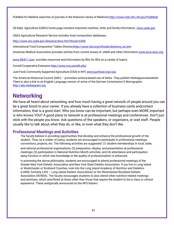PubMed for Medline searches of journals in the National Library of Medicine[.http://www.ncbi.nlm.nih.gov/PubMed/](http://www.ncbi.nlm.nih.gov/PubMed/)

US Dept. Agriculture (USDA) home page contains important nutrition, child, and family information. [www.usda.gov](http://www.usda.gov/)

USDA Agricultural Research Service includes food composition databases.

<http://www.ars.usda.gov/Aboutus/docs.htm?docid=6300>

International Food Composition Tables Director[yhttp://www.fao.org/infoods/directory\\_en.stm](http://www.fao.org/infoods/directory_en.stm)

American Medical Association provides articles from current issues of JAMA and other information[.www.ama-assn.org](http://www.ama-assn.org/)

[www.RD411.com](http://www.rd411.com/) provides resources and information by RDs for RDs on a variety of topics.

Cornell Cooperative Extension <http://www.cce.cornell.edu/>

Just Food, Community Supported Agriculture (CSA) in NYC [www.justfood.org/csa/](http://www.justfood.org/csa/)

The American Botanical Council (ABC) – promotes science-based use of herbs. They publish Herbalgramnewsletter. There is also a link to an English Language version of some of the German Commission E Monographs. [http://abc.herbalgram.org](http://abc.herbalgram.org/)

# <span id="page-29-0"></span>**Networking**

We have all heard about networking, and how much having a great network of people around you can be a great boost to your career. If you already have a collection of business cards andcontact information, that is a good start. Who you know can be important, but perhaps even MORE important is who knows YOU? A good place to network is at professional meetings and conferences. Don't just stick with the people you know. Ask questions of the speakers, or organizers, or wait staff. People usually like to talk about what they do, or like, or even what they don't like.

## <span id="page-29-1"></span>**Professional Meetings and Activities**

The faculty believe in providing opportunities that develop and enhance the professional growth of the student. Thus, as a matter of policy, students are encouraged to participate in professional meetings, conventions, projects, etc. The following activities are suggested: (1) student memberships in local, state,

and national professional organizations; (2) preparation, display, and presentation at professional meetings; (3) participation in National Nutrition Month activities; and (4) attendance and participation atany function in which new knowledge or the quality of professionalism is enhanced.

In promoting the above philosophy, students are encouraged to attend professional meetings of the Greater New York Dietetic Association and New York State Dietetic Association. If you live in Long Island or Westchester or Rockland Counties, look into the Long Island Academy of Nutrition and Dietetics (LIAND, formerly LIDA – Long Island Dietetic Association) or the Westchester/Rockland Dietetic Association (W/RDA). The faculty encourages students to also attend other nutrition-related meetings and seminars, which areoffered at times other than those that require the student to be in class or clinical experience. These aretypically announced on the NFS listserv.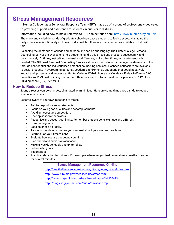# <span id="page-30-0"></span>**Stress Management Resources**

Hunter College has a Behavioral Response Team (BRT) made up of a group of professionals dedicated to providing support and assistance to students in crisis or in distress

Information including how to make referrals to BRT can be found here:<http://www.hunter.cuny.edu/brt>

The many and varied demands of graduate school can cause students to feel stressed. Managing the daily stress level is ultimately up to each individual, but there are many resources available to help with this.

Balancing the demands of college and personal life can be challenging; The Hunter College Personal Counseling Services is available to help students handle this stress and pressure successfully and constructively. At times, just talking can make a difference; while other times, more intervention is needed. **The Office of Personal Counseling Services** strives to help students manage the demands of life through confidential and individualized personal counseling services. Licensed counselors are available to assist students in overcoming personal, academic, and/or crisis situations that could negatively impact their progress and success at Hunter College. Walk-in hours are Monday – Friday, 9:00am – 5:00 pm in Room 1123 East Building. For further office hours and or for appointments, please visit 1123 East Building or call (212) 772-4931.

## <span id="page-30-1"></span>**How to Reduce Stress**

Many stresses can be changed, eliminated, or minimized. Here are some things you can do to reduce your level of stress:

Become aware of your own reactions to stress.

- Reinforce positive self-statements.
- Focus on your good qualities and accomplishments.
- Avoid unnecessary competition.
- Develop assertive behaviors.
- Recognize and accept your limits. Remember that everyone is unique and different.
- Exercise regularly.
- Eat a balanced diet daily.
- Talk with friends or someone you can trust about your worries/problems.
- Learn to use your time wisely:
- Evaluate how you are budgeting your time.
- Plan ahead and *avoid procrastination*.
- Make a weekly schedule and try to follow it.
- Set realistic goals.
- Set priorities.
- Practice relaxation techniques. For example, whenever you feel tense, slowly breathe in and out for several minutes.

**Stress Management Resources On-line** <http://health.discovery.com/centers/stress/index/stressindex.html> <http://www.nlm.nih.gov/medlineplus/stress.html> <http://www.mayoclinic.com/health/meditation/MM00623> <http://blogs.yogajournal.com/audio/savasana.mp3>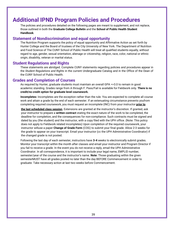# <span id="page-31-0"></span>**Additional IPND Program Policies and Procedures**

The policies and procedures detailed on the following pages are meant to supplement, and not replace, those outlined in both the **Graduate College Bulletin** and the **School of Public Health Student Handbook**.

### <span id="page-31-1"></span>**Statement of Nondiscrimination and equal opportunity**

The Nutrition Program supports the policy of equal opportunity and Affirmative Action as set forth by Hunter College and the Board of trustees of the City University of New York. The Department of Nutrition and Food Science of The CUNY School of Public Health will treat all qualified students equally, without regard to age, gender, sexual orientation, alienage or citizenship, religion, race, color, national or ethnic origin, disability, veteran or marital status.

### <span id="page-31-2"></span>**Student Regulations and Rights**

These statements are abridged. Complete CUNY statements regarding policies and procedures appear in the *Student Regulations and Rights* in the current Undergraduate Catalog and in the Office of the Dean of the CUNY School of Public Health.

### <span id="page-31-3"></span>**Grades and Completion of Courses**

As required by Hunter, graduate students must maintain an overall GPA =>3.0 to remain in good academic standing. Grades range from A through F. Pass/Fail is available for Fieldwork only. **There is no credit/no credit option for graduate level coursework.**

**Incompletes:** Incompletes are the exception rather than the rule. You are expected to complete all course work and attain a grade by the end of each semester. If an extenuating circumstance prevents youfrom completing required coursework, you must request an incomplete (INC) from your instructor **prior to**

**the last scheduled class session**. Extensions are granted at the instructor's discretion. If granted, ask your instructor to prepare a **written contract** stating the exact nature of the work to be completed, the deadline for completion, and the consequences for non-compliance. Such contracts must be signed and dated by you (the student) and the instructor, with a copy filed with the UPH office. (Note: This policy does not apply to Fieldwork related incompletes) Upon completion of the required coursework, your instructor willuse a paper **Change of Grade Form** (COG) to submit your final grade. Allow 2-3 weeks for the grade to appear on your transcript. Email your instructor (cc the UPH Administrative Coordinator) if the changed grade is not posted.

Following the last day of each semester, instructors have **3-4** weeks to electronically submit grades. Monitor your transcript within the month after classes and email your instructor and Program Director if you fail to receive a grade. In the event you do not receive a reply, email the UPH Administrative Coordinator. In all correspondence, it is important to include your legal name, EMPLID number, semester/year of the course and the instructor's name. **Note:** Those graduating within the given semesterMUST have all grades posted no later than the day BEFORE Commencement in order to graduate. Take necessary action at last two weeks before Commencement.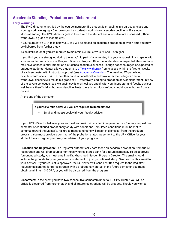# <span id="page-32-0"></span>**Academic Standing, Probation and Disbarment**

### **Early Warnings**

The IPND director is notified by the course instructor if a student is struggling in a particular class and isdoing work averaging a C or below, or if a student's work shows a sudden decline, or if a student stops attending. The IPND director gets in touch with the student and alternative are discussed (official withdrawal, a grade of incomplete).

If your cumulative GPA falls below 3.0, you will be placed on academic probation at which time you may be disbarred from further study.

As an IPND student, you are required to maintain a cumulative GPA of 3.5 or higher.

If you find you are struggling during the early/mid part of a semester, it is your responsibility to speak with your instructor and advisor or Program Director. Program Directors understand unexpected life situations may have consequential impact on a student's academic success. Though not encouraged or expected of graduate students, Hunter allows students to *officially withdraw* from classes within the first ten weeks of each semester with instructor approval (see Academic Calendar). The resulting W grade is not calculatedinto one's GPA. On the other hand, an unofficial withdrawal after the College's official withdrawal deadlinewill result in a grade of F – effectively leading to probation and/or disbarment. In view of the severe consequences, we again say it is critical you speak with your instructor and faculty advisor well before theofficial withdrawal deadline. Note: there is no tuition refund should you withdraw from a course.

At the end of the semester

**If your GPA falls below 3.0 you are required to immediately:**

• Email and meet/speak with your faculty advisor

If your IPND Director believes you can meet and maintain academic requirements, s/he may request one semester of continued probationary study with conditions. Stipulated conditions must be met to continue toward the Master's. Failure to meet conditions will result in dismissal from the graduate program. You must provide a contract of the probation status agreement to the UPH Office for your student file and regularly inform your advisor of your progress.

**Probation and Registration:** The Registrar automatically bars those on academic probation from future registration and will drop courses for those who registered early for a future semester. To be approved forcontinued study, you must email the Dr. Khursheed Navder, Program Director. The email should include the grounds for your grade and a statement to justify continued study. Send a cc of this email to your Advisor. If your request is approved, the Dr. Navder will send a written request to the Registrar requestingclearance for re-registration with a probationary status. In the future semester, you must obtain a minimum 3.0 GPA, or you will be disbarred from the program.

**Disbarment:** In the event you have two consecutive semesters under a 3.0 GPA, Hunter, you will be officially disbarred from further study and all future registrations will be dropped. Should you wish to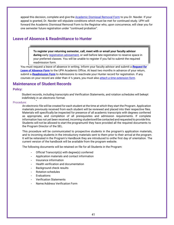appeal this decision, complete and give the Academic Dismissal Removal Form to you Dr. Navder. If your appeal is granted, Dr. Navder will stipulate conditions which must be met for continued study. UPH will forward the Academic Dismissal Removal Form to the Registrar who, upon concurrence, will clear you for one semester future registration under "continued probation".

## <span id="page-33-0"></span>**Leave of Absence & Readmittance to Hunter**

**To register your returning semester, call, meet with or email your faculty advisor during** early registration advisement, or well before late registration to reserve space in your preferred classes. You will be unable to register if you fail to submit the required readmission form.

You must request a leave of absence in writing. Inform your faculty advisor and submit a *Request for Leave of Absence Form* to the UPH Academic Office*.* At least two months in advance of your return, submit a *Readmission Form* to Admissions to reactivate your Hunter record for registration. If any courses on your record are older than 4 ½ years, you must also *attach a time extension form*.

### <span id="page-33-1"></span>**Maintenance of Student Records**

### **Policy:**

Student records, including transcripts and Verification Statements, and rotation schedules will bekept indefinitely in an electronic format.

#### Procedure:

An electronic file will be created for each student at the time at which they start the Program. Application materials previously received from each student will be reviewed and placed into their respective files. Materials will specifically be inspected for presence of all academic transcripts with degrees conferred as appropriate, and completion of all prerequisites and admission requirements. If complete information has not yet been received, incoming studentswill be contacted and requested to provide this. Students will not be allowed to start the programuntil they have provided all the required documents to the Program Director of the SEL.

This procedure will be communicated to prospective students in the program's application materials, and to incoming students in the introductory materials sent to them prior to their arrival at the program. It will be reiterated in the Program's Handbook they are introduced to onthe first day of orientation. The current version of the handbook will be available from the program website.

The following documents will be retained on file for all Students in the Program:

- Official Transcript(s) with degree(s) conferred
- Application materials and contact information
- Insurance information
- Health verification and documentation
- Background check results
- Rotation schedules
- **Evaluations**
- Verification Statements
- Name/Address Verification Form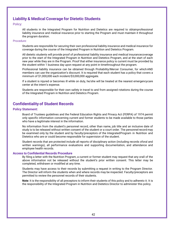# <span id="page-34-0"></span>**Liability & Medical Coverage for Dietetic Students**

### Policy:

All students in the Integrated Program for Nutrition and Dietetics are required to obtainprofessional liability insurance and medical insurance prior to starting the Program and must maintain it throughout the program duration.

### Procedure:

Students are responsible for securing their own professional liability insurance and medical insurance for coverage during the course of the Integrated Program in Nutrition and Dietetics Program.

All dietetic students will provide proof of professional liability insurance and medical insurancecoverage prior to the start of the Integrated Program in Nutrition and Dietetics Program, and at the start of each new year while they are in the Program. Proof that either insurance policy is current must be provided by the student within 1 business day upon request at any point in timethroughout the program.

Professional liability insurance can be obtained through Proliability/Mercer Consumer, for whichAND members can use the organization's discount. It is required that each student has a policy that covers a minimum of \$1,000,000 each incident/\$3,000,000 aggregate.

If a student is injured or becomes ill while on duty, he/she will be treated at the nearest emergencycare center at the intern's expense.

Students are responsible for their own safety in travel to and from assigned rotations during the course of the Integrated Program in Nutrition and Dietetics Program.

# <span id="page-34-1"></span>**Confidentiality of Student Records**

### **Policy Statement:**

Board of Trustees guidelines and the Federal Education Rights and Privacy Act (FERPA) of 1974 permit only specific information concerning current and former students to be made available to those parties who have a legitimate interest in the information.

No information from the student's personnel record, other than name, job title and an inclusive date of study is to be released without written consent of the student or a court order. The personnelrecord may be examined only by the student and by faculty/preceptors of the IntegratedProgram in Nutrition and Dietetics who are or could become responsible for supervision of the student.

Student records that are protected include all reports of disciplinary action (including records oforal and written warnings), all performance evaluations and supporting documentation, and attendance and employee health records.

### **Access to Confidential Records Procedure**

By filing a letter with the Nutrition Program, a current or former student may request that any orall of the above information not be released without the student's prior written consent. This letter may be completed, withdrawn or modified at any time.

Students may have access to their records by submitting a request in writing to the Program Director. The Director will inform the students when and where records may be inspected. Faculty/preceptors are permitted to review the personnel records of their students.

**Note**: It is the responsibility of all preceptors to inform their students of this policy and to adhereto it. It is the responsibility of the Integrated Program in Nutrition and Dietetics Director to administer this policy.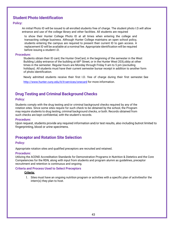# <span id="page-35-0"></span>**Student Photo Identification**

### **Policy:**

An initial Photo ID will be issued to all enrolled students free of charge. The student photo I.D.will allow entrance and use of the college library and other facilities. All students are required

to show their Hunter College Photo ID at all times when entering the college and transacting college business. Although Hunter College maintains an open school policy, students entering the campus are required to present their current ID to gain access. A replacement ID will be available at a nominal fee. Appropriate identification will be required before issuing a student I.D.

### **Procedure:**

Students obtain their ID card, the Hunter OneCard, in the beginning of the semester in the West Building Lobby entrance of the building at 68<sup>th</sup> Street, or in the Hunter West 203Lobby at other times in the semester. Regular hours are Monday through Friday 9 am to 5 pm (excluding holidays). All students must have their current semester bursar receipt in addition to another form of photo identification.

Newly admitted students receive their first I.D. free of charge during their first semester.See

<http://www.hunter.cuny.edu/it/it-services/onecard> for more information.

# <span id="page-35-1"></span>**Drug Testing and Criminal Background Checks**

### **Policy:**

Students comply with the drug testing and/or criminal background checks required by any of the rotation sites. Since some sites require for such check to be obtained by the school, the Program may require students to drug testing, criminal background checks, or both. Records obtained from such checks are kept confidential, with the student's records.

### **Procedure:**

Upon request, students provide any required information and/or test results, also including butnot limited to fingerprinting, blood or urine specimens.

## <span id="page-35-2"></span>**Preceptor and Rotation Site Selection**

### **Policy:**

Appropriate rotation sites and qualified preceptors are recruited and retained.

### **Procedure:**

Utilizing the ACEND Accreditation Standards for Demonstration Programs in Nutrition & Dietetics and the Core Competencies for the RDN, along with input from students and program alumni as guidelines, preceptor recruitment and retention is continuous and ongoing.

### **Criteria and Process Used to Select Preceptors**

### **Criteria:**

1. Sites must have an ongoing nutrition program or activities with a specific plan of activitiesfor the intern(s) they plan to host.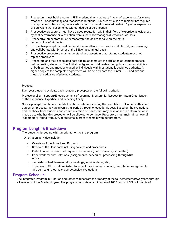- 2. Preceptors must hold a current RDN credential with at least 1 year of experience for clinical rotations. For community and foodservice rotations, RDN credential is desirablebut not required. Preceptors must have a degree or certification in a dietetics related fieldwith 1 year of experience or equivalent work experience without degree or certification.
- 3. Prospective preceptors must have a good reputation within their field of expertise as evidenced by past performance or verification from supervisor/manager/director/co- workers.
- 4. Prospective preceptors must demonstrate the desire to take on the extra responsibility of students.
- 5. Prospective preceptors must demonstrate excellent communication skills orally and inwriting and collaborate with Director of the SEL on a continual basis.
- 6. Prospective preceptors must understand and ascertain that rotating students must not replace employees.
- 7. Preceptors and their associated host site must complete the affiliation agreement process before hosting students. The Affiliation Agreement delineates the rights and responsibilities of both parties and must be signed by individuals with institutionally assigned authority. A signed copy of the completed agreement will be held by both the Hunter IPND and site and must be in advance of placing students.

#### **Process:**

Each year students evaluate each rotation / preceptor on the following criteria:

Professionalism, Support/Encouragement of Learning, Mentorship, Respect for Intern,Organization of the Experience, Expertise, and Teaching Ability

Once a preceptor is chosen that fits the above criteria, including the completion of Hunter's affiliation agreement process, they are given a trial period through oneacademic year. Based on the evaluations and feedback from students and communication or issues that may have arisen, a determination is made as to whether this preceptor will be allowed to continue. Preceptors must maintain an overall "satisfactory" rating from 80% of students in order to remain with our program.

### <span id="page-36-0"></span>**Program Length & Breakdown**

The studentship begins with an orientation to the program.

Orientation activities include:

- Overview of the School and Program
- Review of the Handbook including policies and procedures
- Collection and review of all required documents (if not previously submitted)
- Paperwork for first rotations (assignments, schedules, processing throughvoluter office)
- Semester schedule (mandatory meetings, seminar dates, etc.)
- Overview of SEL rotations (what to expect, professional conduct, pre-rotation assignments and curriculum, journals, competencies, evaluations)

### <span id="page-36-1"></span>**Program Schedule**

The Integrated Program in Nutrition and Dietetics runs from the first day of the fall semester fortwo years, through all sessions of the Academic year. The program consists of a minimum of 1050 hours of SEL, 41 credits of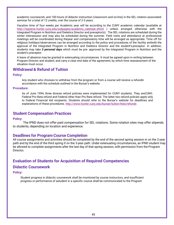academic coursework, and 100 hours of didactic instruction (classroom and on-line) in the SEL rotation associated seminar for a total of 12 credits, over the course of 2-3 years.

Vacation time of four weeks per Academic year will be according to the CUNY academic calendar (available at [http://registrar.hunter.cuny.edu/subpages/academic\\_calendar.shtml](http://registrar.hunter.cuny.edu/subpages/academic_calendar.shtml) ) unless arranged otherwise with the Integrated Program in Nutrition and Dietetics Director and preceptor(s). The SEL rotations are scheduled during the winter intersession and may also be scheduled during the summer. Field visits and attendance at professional meetings will be coordinated during theyear and compensatory time will be arranged as appropriate. Time off for religious holidays/observances can be arranged according to the policy and procedures of the facility andwith the approval of the Integrated Program in Nutrition and Dietetics Director and the student'spreceptor. In addition, students may take *3 personal days* which must be pre- approved by the Integrated Program in Nutrition and the student's preceptor.

A leave of absence may be granted in extenuating circumstances. It must be agreed upon in writing between Program Director and student, and carry a clear end date of the agreement, by which time reassessment of the situation must occur.

# <span id="page-37-0"></span>**Withdrawal & Refund of Tuition**

**Policy:**

Any student who chooses to withdraw from the program or from a course will receive a refundin accordance with the schedule outlined in the Bursar's website.

#### **Procedure:**

As of June 1994, three diverse refund policies were implemented for CUNY students. They areCUNY, Federal Pro Rata refund and Federal other than Pro Rata refund. The latter two refund policies apply only to Federal Financial Aid recipients. Students should refer to the Bursar's website for deadlines and explanations of these procedures. <http://www.hunter.cuny.edu/bursar/tuition-fees/refunds>

### <span id="page-37-1"></span>**Student Compensation Practices**

#### **Policy:**

The IPND does not offer paid compensation for SEL rotations. Some rotation sites may offer stipends to students, depending on location and experience.

### <span id="page-37-2"></span>**Deadlines for Program Course Completion**

All course assignments and activities should be completed by the end of the second spring session in on the 2-year path and by the end of the third spring if on the 3-year path. Under extenuating circumstances, an IPND student may be allowed to complete assignments after the last day of that spring session, with permission from the Program Director*.*

## <span id="page-37-3"></span>**Evaluation of Students for Acquisition of Required Competencies**

### <span id="page-37-4"></span>**Didactic Coursework**

**Policy:**

Student progress in didactic coursework shall be monitored by course instructors, and insufficient progress or performance of astudent in a specific course shall be communicated to the Program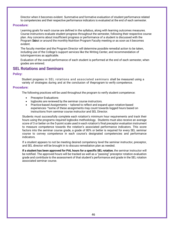Director when it becomes evident. Summative and formative evaluation of student performance related to competencies and their respective performance indicators is evaluated at the end of each semester.

### **Procedure:**

Learning goals for each course are defined in the syllabus, along with learning outcomes measures. Course instructors evaluate student progress throughout the semester, following their respective course plan. Any concerns about insufficient progress or performance of a student is discussed with the Program Datrat or around the monthly Nutrition Program Faculty meeting or as soon as it becomes evident.

The faculty member and the Program Director will determine possible remedial action to be taken, including use of the College's support services like the Writing Center, and recommendation of tutoringservices as applicable.

Evaluation of the overall performance of each student is performed at the end of each semester, when grades are entered.

## <span id="page-38-0"></span>**SEL Rotations and Seminars**

### **Policy:**

Student progress in SEL rotations and associated seminars shall be measured using a variety of strategies during and at the conclusion of theprogram to verify competence.

### **Procedure:**

The following practices will be used throughout the program to verify student competence:

- Preceptor Evaluations
- logbooks are reviewed by the seminar course instructors.
- Practice-based Assignments tailored to reflect and expand upon rotation-based experiences- \*some of these assignments may count towards logged hours based on instructions from seminar course instructor and SEL Director.

Students must successfully complete each rotation's minimum hour requirements and track their hours using the programs required logbooks methodology. Students must also receive an average score of 3 or better on the 5-point scale used in each rotation's final preceptor evaluation instrument to measure competence towards the rotation's associated performance indicators. This score factors into the seminar course grade, a grade of 80% or better is required for every SEL seminar course to convey competence in each course's designated competencies and performance indicators.

If a student appears to not be meeting desired competency level the seminar instructor, preceptor, and SEL director will be brought in to discuss remediation plan as needed.

**If a student has been approved for PAL hours for a specific SEL rotation**, the seminar instructor will be notified. The approved hours will be tracked as well as a "passing" preceptor rotation evaluation grade and contribute to the assessment of that student's performance and grade in the SEL rotation associated seminar course.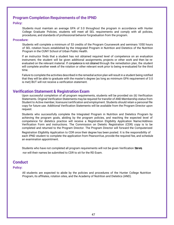## <span id="page-39-0"></span>**Program Completion Requirements of the IPND**

### **Policy:**

Students must maintain an average GPA of 3.0 throughout the program in accordance with Hunter College Graduate Policies, students will meet all SEL requirements and comply with all policies, procedures, and standards of professional behavior forgraduation from the program.

#### **Procedure:**

Students will complete a minimum of 53 credits of the Program Coursework and seminars 1050 hours of SEL rotation hours established by the Integrated Program in Nutrition and Dietetics of the Nutrition Program in the CUNY School of Urban Public Health.

If an instructor finds that a student has not obtained required level of competence on an evaluation instrument, the student will be given additional assignments, projects or other work and then be reevaluated on the relevant material. If competence is not obtained through the remediation plan, the student will complete another week of the rotation or other relevant work prior to being re-evaluated for the third time.

Failure to complete the activities described in the remedial action plan will result in a student being notified that they will be able to graduate with the master's degree (as long as minimum GPA requirement of 3.0 is met) BUT will not receive a verification statement.

### <span id="page-39-1"></span>**Verification Statement & Registration Exam**

Upon successful completion of all program requirements, students will be provided six (6) Verification Statements. Original Verification Statements may be required for transfer of AND Membership status from Student to Active member, licensure/certification and employment. Students should retain a personal file copy for future use. Additional Verification Statements will be available from the Program Director upon request.

Students who successfully complete the Integrated Program in Nutrition and Dietetics Program by achieving the program goals, abiding by the program policies, and reaching the expected level of competence for dietetics practice will receive a Registration Eligibility Application Name/Address Verification Form and instructions. The Commission on Dietetic Registration (CDR) copy is to be completed and returned to the Program Director. The Program Director will forward the Computerized

Registration Eligibility Application to CDR once their degree has been posted. It is the responsibility of each IPND student to complete the application from PearsonVue, provide the required fee, and schedule an examination appointment.

Students who have not completed all program requirements will not be given Verification Sterrets nor will their names be submitted to CDR to sit for the RD Exam.

### <span id="page-39-2"></span>**Conduct**

#### **Policy:**

All students are expected to abide by the policies and procedures of the Hunter College Nutrition Program, its affiliates, rotation sites, and the Academy of Nutrition and Dietetics (AND).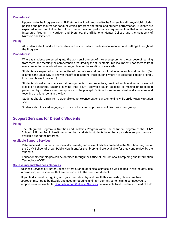#### **Procedures:**

Upon entry to the Program, each IPND student will be introduced to the Student Handbook, which includes policies and procedures for conduct, ethics, program operation, and student performance. Students are expected to read and follow the policies, procedures and performance requirements of theHunter College Integrated Program in Nutrition and Dietetics, the affiliations, Hunter College and the Academy of Nutrition and Dietetics.

#### **Policy:**

All students shall conduct themselves in a respectful and professional manner in all settings throughout the Program.

#### **Procedures:**

Whereas students are entering into the work environment of their preceptors for the purpose of learning from them, and meeting the competencies required by the studentship, in is incumbent upon them to treat every preceptor as a valued teacher, regardless of the rotation or work site.

Students are expected to be respectful of the policies and norms of behavior in each work setting. (For example, the usual way to answer the office telephone, the locations where it is acceptable to eat or drink, lunch and break times, etc.)

Students should accept any and all assignments from preceptors, provided such assignments are not illegal or dangerous. Bearing in mind that "scutt" activities (such as filing or making photocopies) performed by students can free up more of the preceptor's time for more substantive discussions and teaching at a later point in the day.

Students should refrain from personal telephone conversations and/or texting while on duty at any rotation site.

Students should avoid engaging in office politics and unprofessional discussions or gossip.

## <span id="page-40-0"></span>**Support Services for Dietetic Students**

#### **Policy:**

The Integrated Program in Nutrition and Dietetics Program within the Nutrition Program of the CUNY School of Urban Public Health ensures that all dietetic students have the appropriate support services available during the program.

### **Available Support Services:**

Reference texts, manuals, curricula, documents, and relevant articles are held in the Nutrition Program of the CUNY School of Urban Public Health and/or the library and are available for study and review by the students.

Educational technologies can be obtained through the Office of Instructional Computing and Information Technology (OCIT).

#### **Counseling and Wellness Services**

Wellness Services at Hunter College offers a range of clinical services, as well as health-related activities, information, and resources that are responsive to the needs of students.

If you find yourself struggling with your mental or physical health this semester, please feel free to approach me. I try to be flexible and accommodating, and I am committed to helping connect you to support services available. Counseling and Wellness Services are available to all students in need of help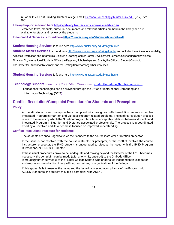in Room 1123, East Building, Hunter College, email: [PersonalCounseling@hunter.cuny.edu, \(](mailto:PersonalCounseling@hunter.cuny.edu)212) 772-4931.

### **Library Support is found here https://library.hunter.cuny.edu/ask-a-librarian**

Reference texts, manuals, curricula, documents, and relevant articles are held in the library and are available for study and review by the students

**Financial Aid Services is found here <https://hunter.cuny.edu/students/financial-aid/>**

#### **Student Housing Services** is found here <http://www.hunter.cuny.edu/livingathunter>

**Student Affairs Services** is found here <http://www.hunter.cuny.edu/livingathunter> and includes the office of Accessibility, Athletics, Recreation and Intramurals, Children's Learning Center, Career Development Services, Counselling and Wellness, Financial Aid, International Students Office, the Registrar, Scholarships and Grants, the Office of Student Conduct, The Center for Student Achievement and the Testing Center among other resources.

**Student Housing Services** is found here <http://www.hunter.cuny.edu/livingathunter>

### **Technology Support** is found at (212) 650-3624 or e-mail [studenthelpdesk@hunter.cunyy.edu](mailto:studenthelpdesk@hunter.cunyy.edu)

Educational technologies can be provided through the Office of Instructional Computing and InformationTechnology (OCIT**)**

### <span id="page-41-0"></span>**Conflict Resolution/Complaint Procedure for Students and Preceptors**

### **Policy:**

All dietetic students and preceptors have the opportunity through a conflict resolution process to resolve Integrated Program in Nutrition and Dietetics Program-related problems. The conflict resolution process refers to the means by which the Nutrition Program facilitates acceptable relations between students and Integrated Program in Nutrition and Dietetics associated professionals. The process is a coordinated effort by all involved and its outcome is focused on improved understanding.

### **Conflict Resolution Procedure for students:**

The students are encouraged to voice their concern to the course instructor or rotation preceptor.

If the issue is not resolved with the course instructor or preceptor, or the conflict involves the course instructoror preceptor, the IPND student is encouraged to discuss the issue with the IPND Program Director and/or IPND SEL Director.

If these usual procedures prove to be inadequate and moving beyond the Director of the IPND becomes necessary, the complaint can be made (with anonymity ensured) to the Ombuds Officer (ombuds@hunter.cuny.edu) of the Hunter College Senate, who undertakes independent investigation and may recommend action to any officer, committee, or organization of the College.

If this appeal fails to resolve the issue, and the issue involves non-compliance of the Program with ACEND Standards, the student may file a complaint with ACEND.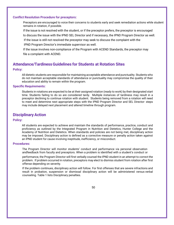### **Conflict Resolution Procedure for preceptors:**

Preceptors are encouraged to voice their concerns to students early and seek remediation actions while student remains in rotation, if possible.

If the issue is not resolved with the student, or if the preceptor prefers, the preceptor is encouraged

to discuss the issue with the IPND SEL Director and if necessary, the IPND Program Director as well.

If the issue is still not resolved the preceptor may seek to discuss the complaint with the

IPND Program Director's immediate supervisor as well.

If the issue involves non-compliance of the Program with ACEND Standards, the preceptor may file a complaint with ACEND.

# <span id="page-42-0"></span>**Attendance/TardinessGuidelines for Students at Rotation Sites**

### **Policy:**

All dietetic students are responsible for maintaining acceptable attendance and punctuality. Students who do not maintain acceptable standards of attendance or punctuality may compromise the quality of their education and ability to remain within the program.

### **Specific Requirements:**

Students in rotations are expected to be at their assigned rotation (ready to work) by their designated start time. Students failing to do so are considered tardy. Multiple instances of tardiness may result in a preceptor declining to continue rotation with student. Students being removed from a rotation will need to meet and determine next appropriate steps with the IPND Program Director and SEL Director- steps may include delayed next placement and altered timeline through program.

## <span id="page-42-1"></span>**Disciplinary Action**

### **Policy:**

All students are expected to achieve and maintain the standards of performance, practice, conduct and proficiency as outlined by the Integrated Program in Nutrition and Dietetics, Hunter College and the Academy of Nutrition and Dietetics. When standards and policies are not being met, disciplinary action may be imposed. Disciplinary action is defined as a corrective measure or penalty action taken against an IPND student for cause involving ineptitude, inefficiency, or misconduct.

### **Procedures:**

The Program Director will monitor students' conduct and performance via personal observation andfeedback from faculty and preceptors. When a problem is identified with a student's conduct or

performance, the Program Director will first verbally counsel the IPND student in an attempt to correct the problem. If problem occurred in rotation, preceptors may elect to dismiss student from rotation after first offense depending on severity.

If the problem continues, disciplinary action will follow. For first offenses that are severe infractions and result in probation, suspension or dismissal disciplinary action will be administered versus verbal counseling. Table 1 lists Disciplinary penalties.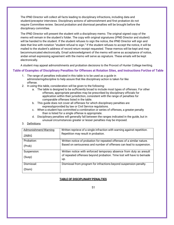The IPND Director will collect all facts leading to disciplinary infractions, including data and student/preceptor interviews. Disciplinary actions of admonishment and first probation do not require Committee review. Second probation and dismissal penalties will be brought before the disciplinary committee.

The IPND Director will present the student with a disciplinary memo. The original signed copy of the memo will remain in the student's folder. The copy with original signatures (IPND Director and student) will be handed to the student. If the student refuses to sign the notice, the IPND Director will sign and date that line with notation "student refusal to sign." If the student refuses to accept the notice, it will be mailed to the student's address of record return receipt requested. These memos will be kept and may becommunicated electronically. Email acknowledgment of the memo will serve as acceptance of notice, andan email expressing agreement with the memo will serve as signature. These emails will be kept electronically.

A student may appeal admonishments and probation decisions to the Provost of Hunter College inwriting.

### **Table of Examples of Disciplinary Penalties for Offenses at Rotation Sites, and Instructions ForUse of Table**

- 1. The range of penalties indicated in this table is to be used as a guide in administeringdiscipline to help assure that like disciplinary action is taken for like offense.
- 2. In using this table, consideration will be given to the following:
	- a. The table is designed to be sufficiently broad to include most types of offenses. For other offenses, appropriate penalties may be prescribed by disciplinary officials for application within their jurisdiction, consistent with the range of penalties for comparable offenses listed in the table.
	- b. This guide does not cover all offenses for which disciplinary penalties are expresslyprovided by law or Civil Service regulations.
	- c. When a student has committed a combination or series of offenses, a greater penalty than is listed for a single offense is appropriate.
	- d. Disciplinary penalties will generally fall between the ranges indicated in the guide, but in unusual circumstances greater or lesser penalties may be imposed.
- 3. Definitions

| Admonishment/Warning | Written reprieve of a single infraction with warning against repetition.    |
|----------------------|-----------------------------------------------------------------------------|
| <u>:(Adm)</u>        | Repetition may result in probation.                                         |
| Probation:           | Written notice of probation for repeated offenses of a similar nature.      |
| (Prob)               | Based on seriousness and number of offenses can lead to suspension.         |
| Suspension:          | Written notice with enforced temporary absence from duty as aresult         |
| (Susp)               | of repeated offenses beyond probation. Time lost will have to bemade<br>up. |
| Dismissal:           | Dismissal from program for infractions beyond suspension penalty.           |
| (Dism)               |                                                                             |

### **TABLE OF DISCIPLINARY PENALTIES**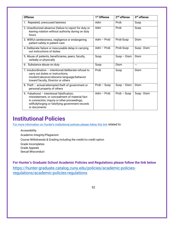| <b>Offense</b>                                                                                                                                                                                                  | 1 <sup>st</sup> Offense | $2nd$ offense | 3 <sup>rd</sup> offense |
|-----------------------------------------------------------------------------------------------------------------------------------------------------------------------------------------------------------------|-------------------------|---------------|-------------------------|
| 1. Repeated, unexcused lateness                                                                                                                                                                                 | Adm                     | Prob          | Susp                    |
| 2. Unauthorized absence (failure to report for duty or<br>leaving rotation without authority during on duty<br>hours                                                                                            | Adm                     | Prob          | Susp                    |
| 3. Willful carelessness, negligence or endangering<br>patient safety in patient care                                                                                                                            | Adm $-$ Prob            | Prob-Susp     | Dism                    |
| 4. Deliberate failure or inexcusable delay in carrying<br>out instructions of duties                                                                                                                            | Adm $-$ Prob            | Prob-Susp     | Susp - Dism             |
| 5. Abuse of patients, beneficiaries, peers, faculty,<br>verbally or physically                                                                                                                                  | Susp                    | $Susp - Dism$ | Dism                    |
| 6. Substance abuse on duty                                                                                                                                                                                      | Susp                    | Dism          | ---                     |
| 7. Insubordination - intentional/deliberate refusal to<br>carry out duties or instructions;<br>insolent/abusive/obscene language/behavior<br>toward faculty, Director or others                                 | Prob                    | Susp          | Dism                    |
| 8. Theft - actual/attempted theft of government or<br>personal property of others                                                                                                                               | $Prob - Susp$           | $Susp - Dism$ | Dism                    |
| 9. Falsehood - Intentional falsification,<br>misstatement, or concealment of material fact<br>in connection, inquiry or other proceedings;<br>willfullyforging or falsifying government records<br>or documents | Adm $-$ Prob            | $Prob - Susp$ | Susp - Dism             |

# <span id="page-44-0"></span>**Institutional Policies**

[For more information on Hunter's institutional policies please follow this link](https://docs.google.com/document/d/1RAEuUW0FpuzpTxAaKcT7UsNoHLENvjw1Khk-0LBezqM/edit) related to:

Accessibility

Academic Integrity/Plagiarism

Course Withdrawals & Grading including the credit/no credit option

Grade Incompletes

Grade Appeals

Sexual Misconduct

**For Hunter's Graduate School Academic Policies and Regulations please follow the link below** [https://hunter-graduate.catalog.cuny.edu/policies/academic-policies](https://hunter-graduate.catalog.cuny.edu/policies/academic-policies-regulations/academic-policies-regulations)[regulations/academic-policies-regulations](https://hunter-graduate.catalog.cuny.edu/policies/academic-policies-regulations/academic-policies-regulations)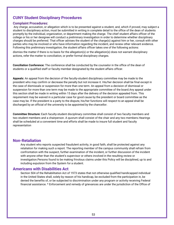# <span id="page-45-0"></span>**CUNY Student Disciplinary Procedures**

### <span id="page-45-1"></span>**Complaint Procedures:**

Any charge, accusation, or allegation which is to be presented against a student, and, which if proved, may subject a student to disciplinary action, must be submitted in writing in complete detail to the office of the dean of students promptly by the individual, organization, or department making the charge. The chief student affairs officer of the college or his or her designee will conduct a preliminary investigation in order to determine whether disciplinary charges should be preferred. That officer advises the student of the charge(s) against him or her, consult with other parties who may be involved or who have information regarding the incident, and review other relevant evidence. Following this preliminary investigation, the student affairs officer takes one of the following actions:

dismiss the matter if there is no basis for the allegation(s) or the allegation(s) does not warrant disciplinary actions, refer the matter to conciliation, or prefer formal disciplinary charges.

**Conciliation Conference:** The conference shall be conducted by the counselor in the office of the dean of students or a qualified staff or faculty member designated by the student affairs officer.

**Appeals:** An appeal from the decision of the faculty-student disciplinary committee may be made to the president who may confirm or decrease the penalty but not increase it. His/her decision shall be final except in the case of dismissals or suspension for more than one term. An appeal from a decision of dismissal or suspension for more than one term may be made to the appropriate committee of the board.Any appeal under this section shall be made in writing within 15 days after the delivery of the decision appealed from. This requirement may be waived in a particular case for good cause by the president or board committee as the case may be. If the president is a party to the dispute, his/her functions will respect to an appeal shall be discharged by an official of the university to be appointed by the chancellor.

**Committee Structure:** Each faculty-student disciplinary committee shall consist of two faculty members and two student members and a chairperson. A quorum shall consist of the chair and any two members.Hearings shall be scheduled at a convenient time and efforts shall be made to insure full student and faculty representation

### <span id="page-45-2"></span>**Non-Retaliation**

Any student who reports suspected fraudulent activity, in good faith, shall be protected against any retaliation for making such a report. The reporting member of the campus community shall refrain from confrontation with the suspect, further examination of the incident, or further discussion of the incident with anyone other than the student's supervisor or others involved in the resulting review or investigation.Persons found to be making frivolous claims under this Policy will be disciplined, up to and including expulsion from the System for a student.

### <span id="page-45-3"></span>**Americans with Disabilities Act**

Section 504 of the Rehabilitation Act of 1973 states that not otherwise qualified handicapped individual in the United States shall, solely by reason of his handicap, be excluded from the participation in, be denied the benefits of, or be subjected to discrimination under any program or activity receiving Federal financial assistance. \* Enforcement and remedy of grievances are under the jurisdiction of the Office of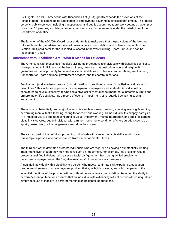Civil Rights.The 1990 Americans with Disabilities Act (ADA), greatly expands the provisions of the Rehabilitation Act, extending its jurisdiction to employment, covering businesses that employ 15 or more persons, public services (including transportation and public accommodation), work settings that employ more than 15 persons, and telecommunications services. Enforcement is under the jurisdiction of the Department of Justice.

The function of the ADA/504 Coordinator at Hunter is to make sure that the provisions of the laws are fully implemented, to advise on issues of reasonable accommodation, and to hear complaints. The Section 504 Coordinator for the Disabled is located in the West Building, Room 1425A, and can be reached at 772-5061.

### <span id="page-46-0"></span>**Americans with Disabilities Act - What it Means for Students**

The Americans with Disabilities Act gives civil rights protections to individuals with disabilities similar to those provided to individuals on the basis of race, color, sex, national origin, age, and religion. It guarantees equal opportunity for individuals with disabilities in public accommodations, employment, transportation, State and local government services, and telecommunications.

Employment (and academic program) discrimination is prohibited against "qualified individuals with disabilities." This includes applicants for employment, employees, and students. An individual is considered to have a "disability" if s/he has a physical or mental impairment that substantially limits one ormore major life activities, has a record of such an impairment, or is regarded as having such an impairment.

These must substantially limit major life activities such as seeing, hearing, speaking, walking, breathing, performing manual tasks, learning, caring for oneself, and working. An individual with epilepsy, paralysis, HIV infection, AIDS, a substantial hearing or visual impairment, mental retardation, or a specific learning disability is covered, but an individual with a minor, non-chronic condition of short duration, such as a sprain, broken limb, or the flu, generally would not be covered.

The second part of the definition protecting individuals with a record of a disability would cover, forexample, a person who has recovered from cancer or mental illness.

The third part of the definition protects individuals who are regarded as having a substantially limiting impairment, even though they may not have such an impairment. For example, this provision would protect a qualified individual with a severe facial disfigurement from being denied employment becausean employer feared the "negative reactions" of customers or co-workers.

A qualified individual with a disability is a person who meets legitimate skill, experience, education, orother requirements of an employment position that s/he holds or seeks, and who can perform the

essential functions of the position with or without reasonable accommodation. Requiring the ability to perform "essential" functions assures that an individual with a disability will not be considered unqualified simply because of inability to perform marginal or incidental job functions.